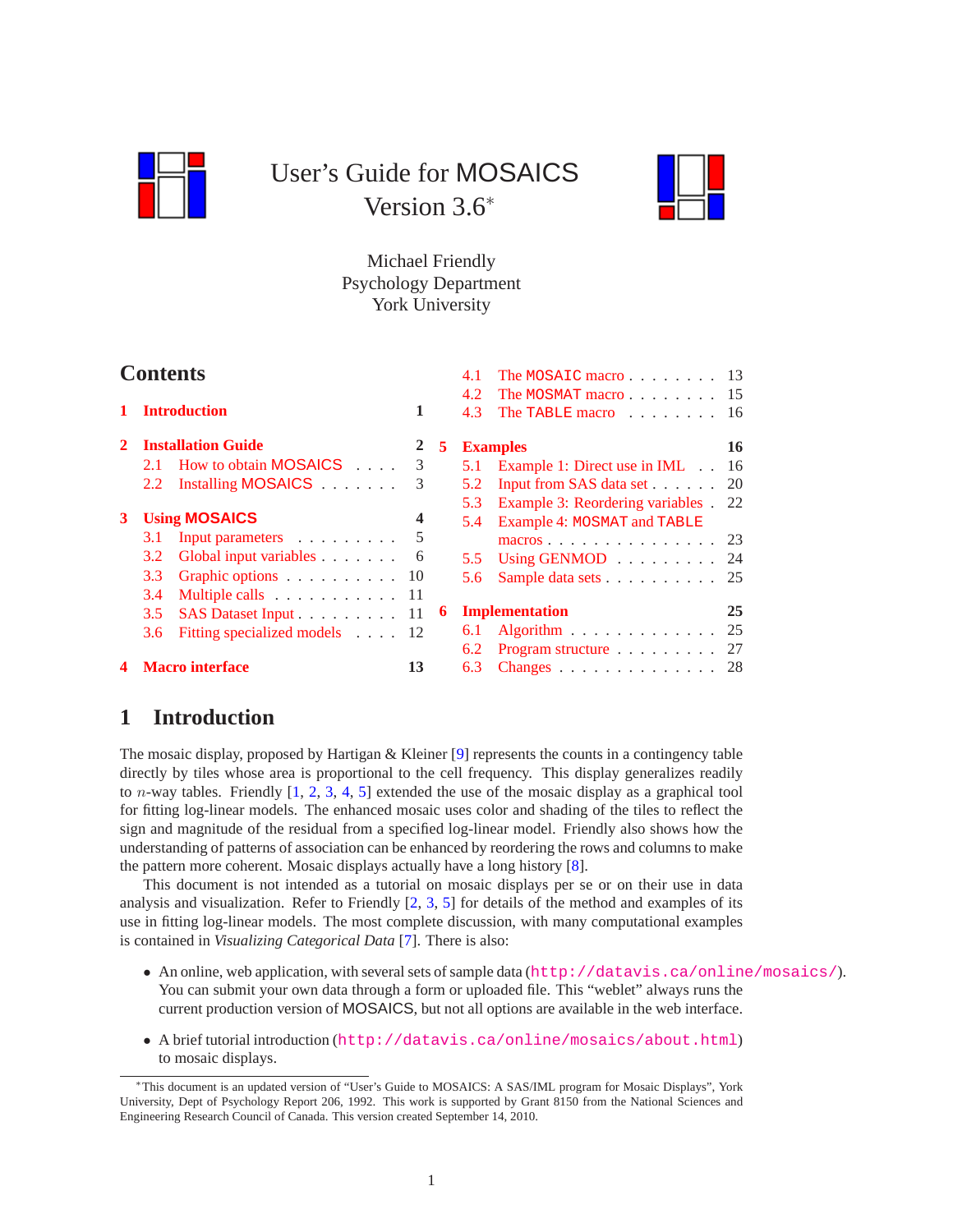<span id="page-0-1"></span>

# User's Guide for MOSAICS Version 3.6<sup>∗</sup>



# Michael Friendly Psychology Department York University

| <b>Contents</b> |                             |                                                  |    |   |            | The MOSAIC macro $13$                                               |     |
|-----------------|-----------------------------|--------------------------------------------------|----|---|------------|---------------------------------------------------------------------|-----|
|                 | <b>Introduction</b>         |                                                  |    |   | 4.2<br>4.3 | The MOSMAT macro 15<br>The TABLE macro $\dots \dots \dots \dots$ 16 |     |
| $\mathbf{2}$    |                             | <b>Installation Guide</b>                        | 2  | 5 |            | <b>Examples</b>                                                     | 16  |
|                 |                             | 2.1 How to obtain MOSAICS                        | 3  |   |            | 5.1 Example 1: Direct use in IML                                    | -16 |
|                 |                             | 2.2 Installing MOSAICS                           | 3  |   | 5.2        | Input from SAS data set 20                                          |     |
|                 |                             |                                                  |    |   | 5.3        | Example 3: Reordering variables . 22                                |     |
| 3               |                             | <b>Using MOSAICS</b>                             | 4  |   |            | 5.4 Example 4: MOSMAT and TABLE                                     |     |
|                 | 3.1                         | Input parameters                                 |    |   |            | macros 23                                                           |     |
|                 | 3.2                         | Global input variables 6                         |    |   |            | 5.5 Using GENMOD 24                                                 |     |
|                 | 3.3                         | Graphic options $\ldots \ldots \ldots \ldots 10$ |    |   | 5.6        | Sample data sets 25                                                 |     |
|                 | 3.4                         | Multiple calls 11                                |    |   |            |                                                                     |     |
|                 | SAS Dataset Input 11<br>3.5 |                                                  |    | 6 |            | <b>Implementation</b>                                               | 25  |
|                 | 3.6                         | Fitting specialized models 12                    |    |   | 6.1        | Algorithm $\ldots \ldots \ldots \ldots 25$                          |     |
|                 |                             |                                                  |    |   | 6.2        | Program structure $\ldots \ldots \ldots 27$                         |     |
|                 |                             | 4 Macro interface                                | 13 |   | 6.3        | Changes 28                                                          |     |

# <span id="page-0-0"></span>**1 Introduction**

The mosaic display, proposed by Hartigan & Kleiner [\[9\]](#page-29-0) represents the counts in a contingency table directly by tiles whose area is proportional to the cell frequency. This display generalizes readily to *n*-way tables. Friendly  $[1, 2, 3, 4, 5]$  $[1, 2, 3, 4, 5]$  $[1, 2, 3, 4, 5]$  $[1, 2, 3, 4, 5]$  $[1, 2, 3, 4, 5]$  $[1, 2, 3, 4, 5]$  $[1, 2, 3, 4, 5]$  $[1, 2, 3, 4, 5]$  extended the use of the mosaic display as a graphical tool for fitting log-linear models. The enhanced mosaic uses color and shading of the tiles to reflect the sign and magnitude of the residual from a specified log-linear model. Friendly also shows how the understanding of patterns of association can be enhanced by reordering the rows and columns to make the pattern more coherent. Mosaic displays actually have a long history [\[8\]](#page-29-1).

This document is not intended as a tutorial on mosaic displays per se or on their use in data analysis and visualization. Refer to Friendly [\[2,](#page-28-1) [3,](#page-28-2) [5\]](#page-28-4) for details of the method and examples of its use in fitting log-linear models. The most complete discussion, with many computational examples is contained in *Visualizing Categorical Data* [\[7\]](#page-29-2). There is also:

- An online, web application, with several sets of sample data (<http://datavis.ca/online/mosaics/>). You can submit your own data through a form or uploaded file. This "weblet" always runs the current production version of MOSAICS, but not all options are available in the web interface.
- A brief tutorial introduction (<http://datavis.ca/online/mosaics/about.html>) to mosaic displays.

<sup>∗</sup>This document is an updated version of "User's Guide to MOSAICS: A SAS/IML program for Mosaic Displays", York University, Dept of Psychology Report 206, 1992. This work is supported by Grant 8150 from the National Sciences and Engineering Research Council of Canada. This version created September 14, 2010.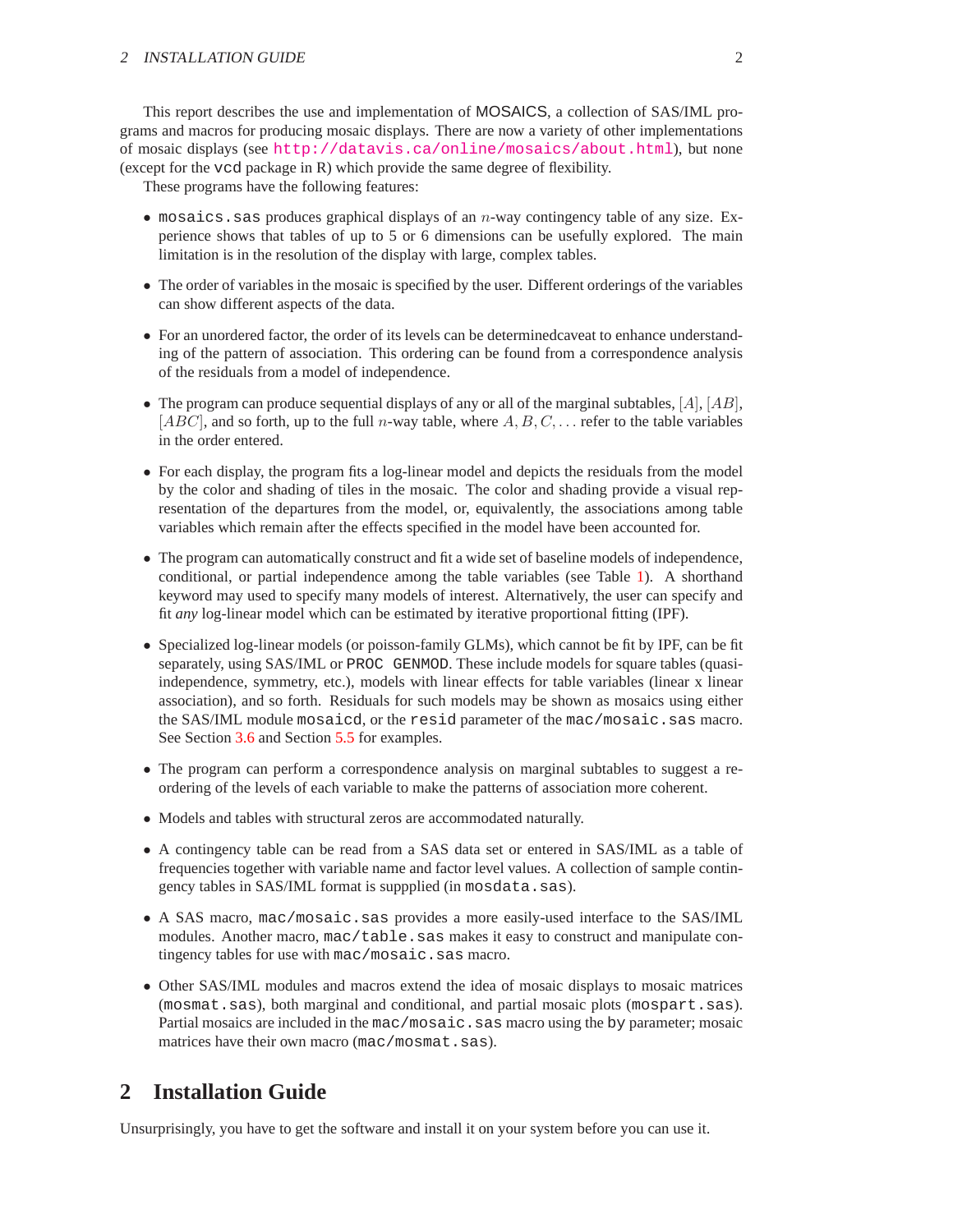This report describes the use and implementation of MOSAICS, a collection of SAS/IML programs and macros for producing mosaic displays. There are now a variety of other implementations of mosaic displays (see <http://datavis.ca/online/mosaics/about.html>), but none (except for the vcd package in R) which provide the same degree of flexibility.

These programs have the following features:

- mosaics. sas produces graphical displays of an  $n$ -way contingency table of any size. Experience shows that tables of up to 5 or 6 dimensions can be usefully explored. The main limitation is in the resolution of the display with large, complex tables.
- The order of variables in the mosaic is specified by the user. Different orderings of the variables can show different aspects of the data.
- For an unordered factor, the order of its levels can be determinedcaveat to enhance understanding of the pattern of association. This ordering can be found from a correspondence analysis of the residuals from a model of independence.
- The program can produce sequential displays of any or all of the marginal subtables,  $[A], [AB],$  $[ABC]$ , and so forth, up to the full *n*-way table, where  $A, B, C, \ldots$  refer to the table variables in the order entered.
- For each display, the program fits a log-linear model and depicts the residuals from the model by the color and shading of tiles in the mosaic. The color and shading provide a visual representation of the departures from the model, or, equivalently, the associations among table variables which remain after the effects specified in the model have been accounted for.
- The program can automatically construct and fit a wide set of baseline models of independence, conditional, or partial independence among the table variables (see Table [1\)](#page-6-0). A shorthand keyword may used to specify many models of interest. Alternatively, the user can specify and fit *any* log-linear model which can be estimated by iterative proportional fitting (IPF).
- Specialized log-linear models (or poisson-family GLMs), which cannot be fit by IPF, can be fit separately, using SAS/IML or PROC GENMOD. These include models for square tables (quasiindependence, symmetry, etc.), models with linear effects for table variables (linear x linear association), and so forth. Residuals for such models may be shown as mosaics using either the SAS/IML module mosaicd, or the resid parameter of the mac/mosaic.sas macro. See Section [3.6](#page-11-0) and Section [5.5](#page-23-0) for examples.
- The program can perform a correspondence analysis on marginal subtables to suggest a reordering of the levels of each variable to make the patterns of association more coherent.
- Models and tables with structural zeros are accommodated naturally.
- A contingency table can be read from a SAS data set or entered in SAS/IML as a table of frequencies together with variable name and factor level values. A collection of sample contingency tables in SAS/IML format is suppplied (in mosdata.sas).
- A SAS macro, mac/mosaic.sas provides a more easily-used interface to the SAS/IML modules. Another macro, mac/table. sas makes it easy to construct and manipulate contingency tables for use with mac/mosaic.sas macro.
- Other SAS/IML modules and macros extend the idea of mosaic displays to mosaic matrices (mosmat.sas), both marginal and conditional, and partial mosaic plots (mospart.sas). Partial mosaics are included in the mac/mosaic.sas macro using the by parameter; mosaic matrices have their own macro (mac/mosmat.sas).

# <span id="page-1-0"></span>**2 Installation Guide**

Unsurprisingly, you have to get the software and install it on your system before you can use it.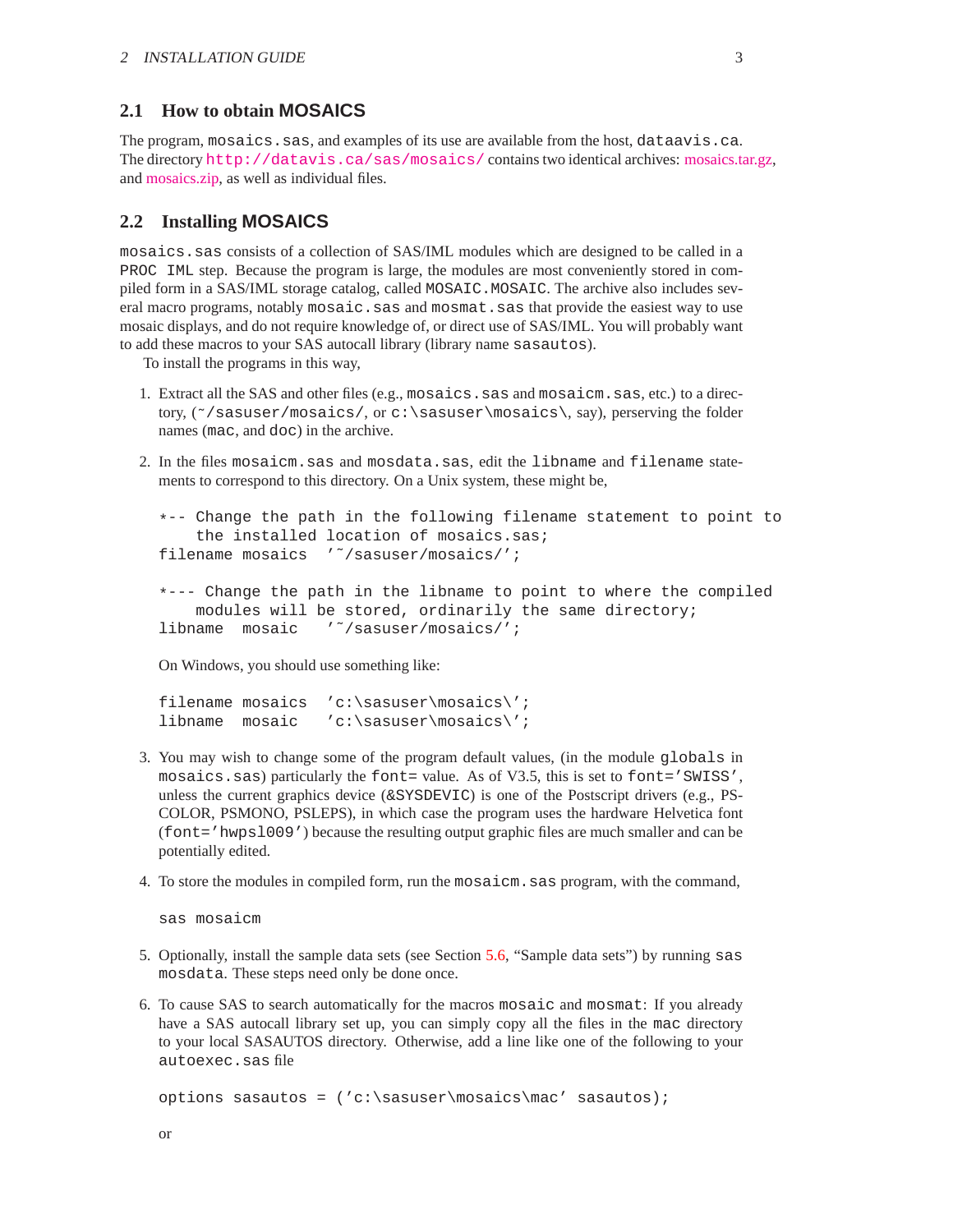### <span id="page-2-0"></span>**2.1 How to obtain MOSAICS**

The program, mosaics.sas, and examples of its use are available from the host, dataavis.ca. The directory <http://datavis.ca/sas/mosaics/> contains two identical archives: [mosaics.tar.gz,](http://datavis.ca/sas/mosaics/mosaics.tar.gz) and [mosaics.zip,](http://datavis.ca/sas/mosaics/mosaics.zip) as well as individual files.

### <span id="page-2-1"></span>**2.2 Installing MOSAICS**

mosaics.sas consists of a collection of SAS/IML modules which are designed to be called in a PROC IML step. Because the program is large, the modules are most conveniently stored in compiled form in a SAS/IML storage catalog, called MOSAIC. MOSAIC. The archive also includes several macro programs, notably mosaic.sas and mosmat.sas that provide the easiest way to use mosaic displays, and do not require knowledge of, or direct use of SAS/IML. You will probably want to add these macros to your SAS autocall library (library name sasautos).

To install the programs in this way,

- 1. Extract all the SAS and other files (e.g., mosaics.sas and mosaicm.sas, etc.) to a directory, ( $\gamma$ ) sasuser/mosaics/, or c:\sasuser\mosaics\, say), perserving the folder names (mac, and doc) in the archive.
- 2. In the files mosaicm.sas and mosdata.sas, edit the libname and filename statements to correspond to this directory. On a Unix system, these might be,

```
*-- Change the path in the following filename statement to point to
    the installed location of mosaics.sas;
filename mosaics '˜/sasuser/mosaics/';
```

```
*--- Change the path in the libname to point to where the compiled
   modules will be stored, ordinarily the same directory;
libname mosaic '˜/sasuser/mosaics/';
```
On Windows, you should use something like:

```
filename mosaics 'c:\sasuser\mosaics\';
libname mosaic 'c:\sasuser\mosaics\';
```
- 3. You may wish to change some of the program default values, (in the module globals in mosaics.sas) particularly the font= value. As of V3.5, this is set to font='SWISS', unless the current graphics device  $(\&$ SYSDEVIC) is one of the Postscript drivers (e.g., PS-COLOR, PSMONO, PSLEPS), in which case the program uses the hardware Helvetica font (font='hwpsl009') because the resulting output graphic files are much smaller and can be potentially edited.
- 4. To store the modules in compiled form, run the mosaicm.sas program, with the command,

sas mosaicm

- 5. Optionally, install the sample data sets (see Section [5.6,](#page-24-0) "Sample data sets") by running sas mosdata. These steps need only be done once.
- 6. To cause SAS to search automatically for the macros mosaic and mosmat: If you already have a SAS autocall library set up, you can simply copy all the files in the mac directory to your local SASAUTOS directory. Otherwise, add a line like one of the following to your autoexec.sas file

options sasautos = ('c:\sasuser\mosaics\mac' sasautos);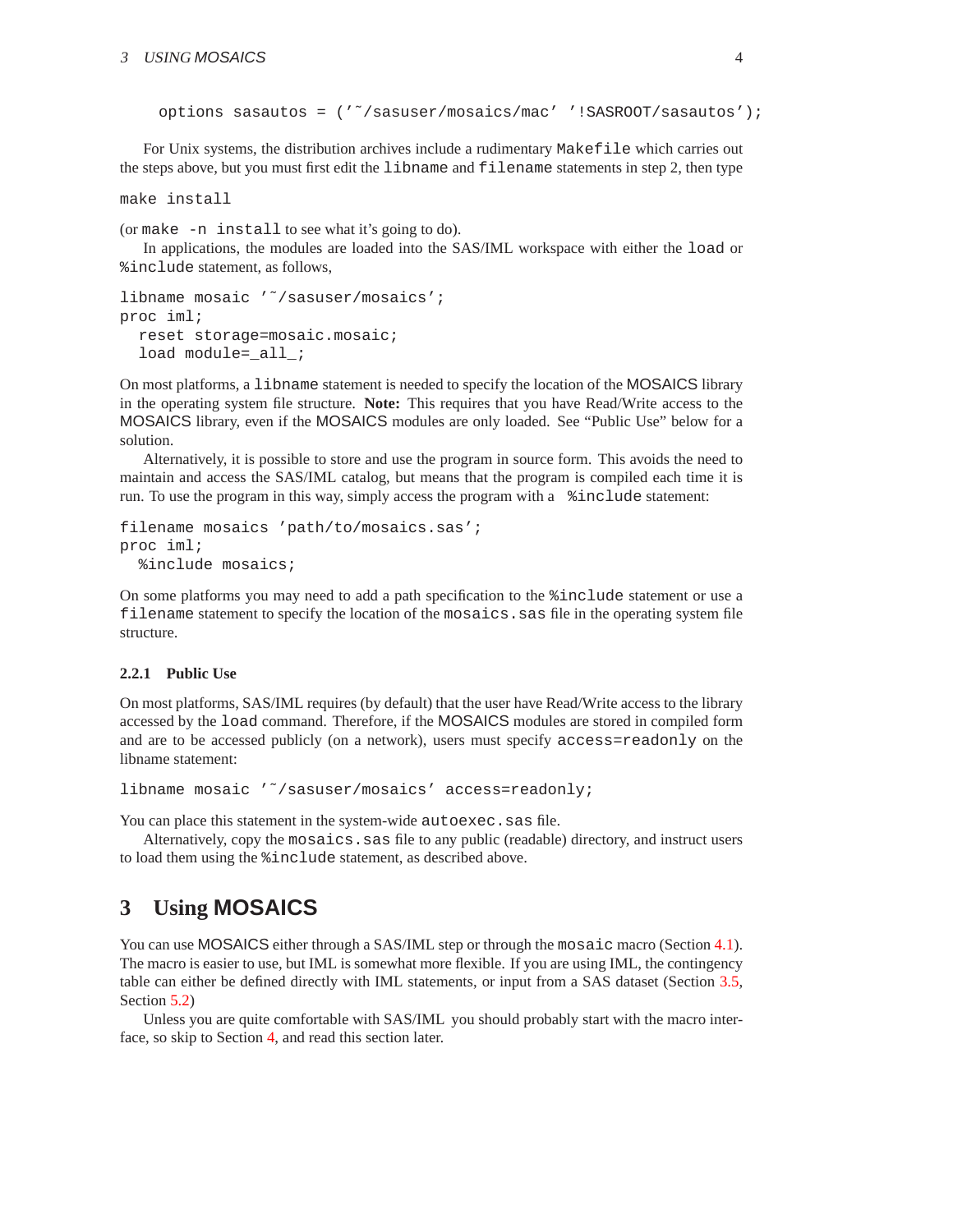```
options sasautos = ('˜/sasuser/mosaics/mac' '!SASROOT/sasautos');
```
For Unix systems, the distribution archives include a rudimentary Makefile which carries out the steps above, but you must first edit the libname and filename statements in step 2, then type

make install

(or make -n install to see what it's going to do).

In applications, the modules are loaded into the SAS/IML workspace with either the load or %include statement, as follows,

```
libname mosaic '~/sasuser/mosaics';
proc iml;
  reset storage=mosaic.mosaic;
  load module=_all_;
```
On most platforms, a libname statement is needed to specify the location of the MOSAICS library in the operating system file structure. **Note:** This requires that you have Read/Write access to the MOSAICS library, even if the MOSAICS modules are only loaded. See "Public Use" below for a solution.

Alternatively, it is possible to store and use the program in source form. This avoids the need to maintain and access the SAS/IML catalog, but means that the program is compiled each time it is run. To use the program in this way, simply access the program with a %include statement:

```
filename mosaics 'path/to/mosaics.sas';
proc iml;
  %include mosaics;
```
On some platforms you may need to add a path specification to the %include statement or use a filename statement to specify the location of the mosaics.sas file in the operating system file structure.

### **2.2.1 Public Use**

On most platforms, SAS/IML requires (by default) that the user have Read/Write access to the library accessed by the load command. Therefore, if the MOSAICS modules are stored in compiled form and are to be accessed publicly (on a network), users must specify access=readonly on the libname statement:

```
libname mosaic '˜/sasuser/mosaics' access=readonly;
```
You can place this statement in the system-wide autoexec.sas file.

Alternatively, copy the mosaics.sas file to any public (readable) directory, and instruct users to load them using the %include statement, as described above.

# <span id="page-3-0"></span>**3 Using MOSAICS**

You can use MOSAICS either through a SAS/IML step or through the mosaic macro (Section [4.1\)](#page-12-1). The macro is easier to use, but IML is somewhat more flexible. If you are using IML, the contingency table can either be defined directly with IML statements, or input from a SAS dataset (Section [3.5,](#page-10-1) Section [5.2\)](#page-19-0)

Unless you are quite comfortable with SAS/IML you should probably start with the macro interface, so skip to Section [4,](#page-12-0) and read this section later.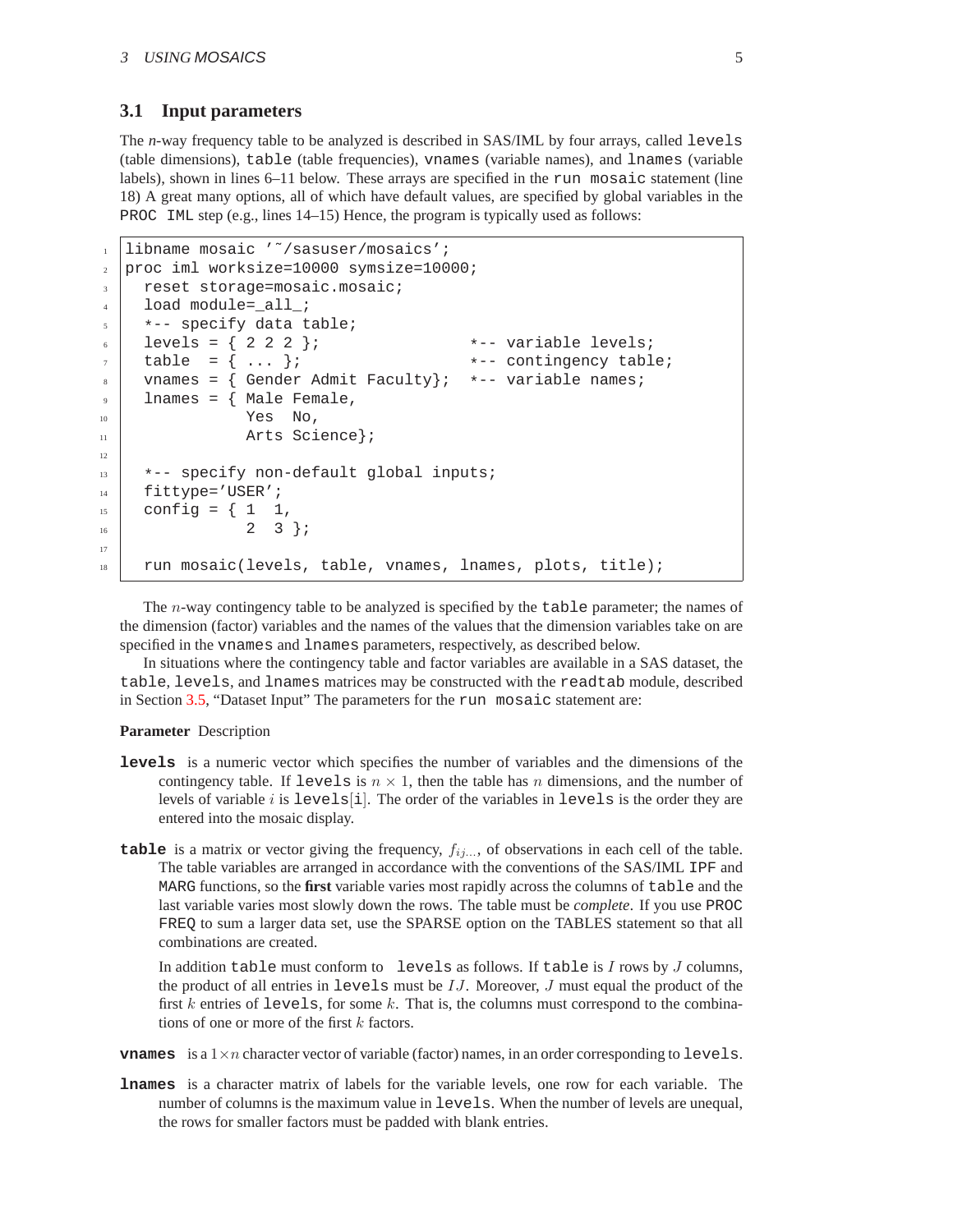### <span id="page-4-0"></span>**3.1 Input parameters**

The *n*-way frequency table to be analyzed is described in SAS/IML by four arrays, called levels (table dimensions), table (table frequencies), vnames (variable names), and lnames (variable labels), shown in lines 6–11 below. These arrays are specified in the run mosaic statement (line 18) A great many options, all of which have default values, are specified by global variables in the PROC IML step (e.g., lines 14–15) Hence, the program is typically used as follows:

```
libname mosaic '~/sasuser/mosaics';
2 proc iml worksize=10000 symsize=10000;
3 reset storage=mosaic.mosaic;
4 | load module=_all_;
5 \mid \cdot \cdot \cdot specify data table;
6 levels = { 2 2 2 }; *-- variable levels;
\tau table = { ... }; \longrightarrow *-- contingency table;
    vnames = \{ Gender Admit Faculty}; *-- variable names;
9 \mid lnames = { Male Female,
\begin{array}{ccc} 10 & \text{Yes} & \text{No} \end{array}11 Arts Science};
12
13 *-- specify non-default global inputs;
_{14} | fittype='USER';
_{15} config = { 1 1,
16 2 3 };
17
18 run mosaic(levels, table, vnames, lnames, plots, title);
```
The *n*-way contingency table to be analyzed is specified by the table parameter; the names of the dimension (factor) variables and the names of the values that the dimension variables take on are specified in the vnames and lnames parameters, respectively, as described below.

In situations where the contingency table and factor variables are available in a SAS dataset, the table, levels, and lnames matrices may be constructed with the readtab module, described in Section [3.5,](#page-10-1) "Dataset Input" The parameters for the run mosaic statement are:

### **Parameter** Description

- **levels** is a numeric vector which specifies the number of variables and the dimensions of the contingency table. If levels is  $n \times 1$ , then the table has n dimensions, and the number of levels of variable i is levels  $[i]$ . The order of the variables in levels is the order they are entered into the mosaic display.
- **table** is a matrix or vector giving the frequency,  $f_{ij...}$ , of observations in each cell of the table. The table variables are arranged in accordance with the conventions of the SAS/IML IPF and MARG functions, so the **first** variable varies most rapidly across the columns of table and the last variable varies most slowly down the rows. The table must be *complete*. If you use PROC FREQ to sum a larger data set, use the SPARSE option on the TABLES statement so that all combinations are created.

In addition table must conform to levels as follows. If table is  $I$  rows by  $J$  columns, the product of all entries in levels must be  $IJ$ . Moreover,  $J$  must equal the product of the first k entries of levels, for some k. That is, the columns must correspond to the combinations of one or more of the first  $k$  factors.

**vnames** is a  $1 \times n$  character vector of variable (factor) names, in an order corresponding to levels.

**lnames** is a character matrix of labels for the variable levels, one row for each variable. The number of columns is the maximum value in levels. When the number of levels are unequal, the rows for smaller factors must be padded with blank entries.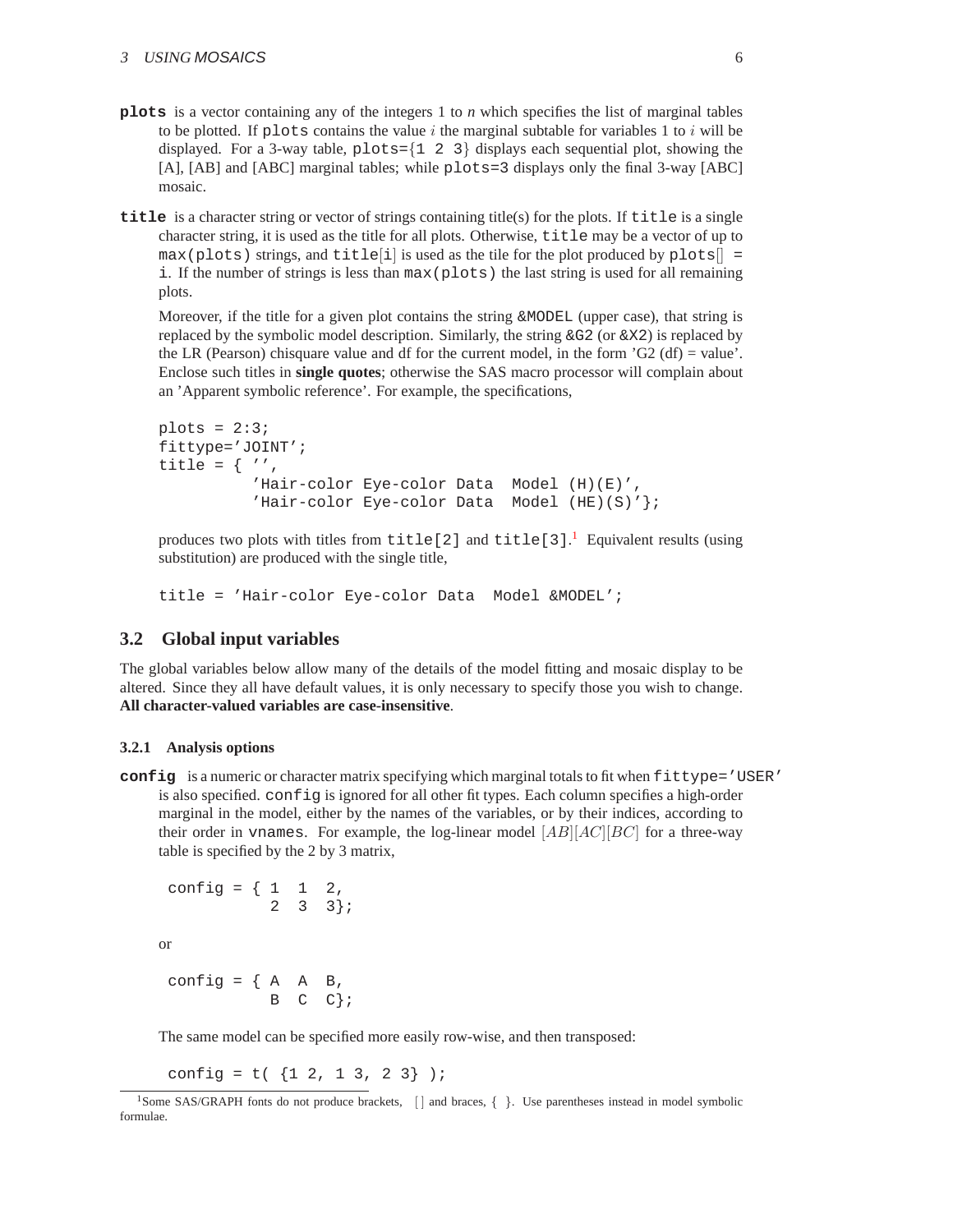- **plots** is a vector containing any of the integers 1 to *n* which specifies the list of marginal tables to be plotted. If plots contains the value i the marginal subtable for variables 1 to i will be displayed. For a 3-way table,  $p$ lots= $\{1 \ 2 \ 3\}$  displays each sequential plot, showing the [A], [AB] and [ABC] marginal tables; while plots=3 displays only the final 3-way [ABC] mosaic.
- **title** is a character string or vector of strings containing title(s) for the plots. If title is a single character string, it is used as the title for all plots. Otherwise, title may be a vector of up to  $max(plosts)$  strings, and title<sup>[i]</sup> is used as the tile for the plot produced by plots<sup>[]</sup> = i. If the number of strings is less than max(plots) the last string is used for all remaining plots.

Moreover, if the title for a given plot contains the string  $\&MODEL$  (upper case), that string is replaced by the symbolic model description. Similarly, the string  $\&G2$  (or  $\&X2$ ) is replaced by the LR (Pearson) chisquare value and df for the current model, in the form  $G2$  (df) = value'. Enclose such titles in **single quotes**; otherwise the SAS macro processor will complain about an 'Apparent symbolic reference'. For example, the specifications,

```
plots = 2:3;fittype='JOINT';
title = \{ '','Hair-color Eye-color Data Model (H)(E)',
          'Hair-color Eye-color Data Model (HE)(S)' };
```
produces two plots with titles from title[2] and title[3].<sup>[1](#page-5-1)</sup> Equivalent results (using substitution) are produced with the single title,

title = 'Hair-color Eye-color Data Model &MODEL';

### <span id="page-5-0"></span>**3.2 Global input variables**

The global variables below allow many of the details of the model fitting and mosaic display to be altered. Since they all have default values, it is only necessary to specify those you wish to change. **All character-valued variables are case-insensitive**.

#### **3.2.1 Analysis options**

**config** is a numeric or character matrix specifying which marginal totals to fit when fittype='USER' is also specified. config is ignored for all other fit types. Each column specifies a high-order marginal in the model, either by the names of the variables, or by their indices, according to their order in vnames. For example, the log-linear model  $|AB||AC||BC|$  for a three-way table is specified by the 2 by 3 matrix,

```
config = \{ 1 \ 1 \ 2,2 3 \; 3 \; j
```
or

config =  $\{ A \ A \ B,$  $B \ C \ C$ ;

The same model can be specified more easily row-wise, and then transposed:

config =  $t($  {1 2, 1 3, 2 3} );

<span id="page-5-1"></span><sup>&</sup>lt;sup>1</sup>Some SAS/GRAPH fonts do not produce brackets, [] and braces, { }. Use parentheses instead in model symbolic formulae.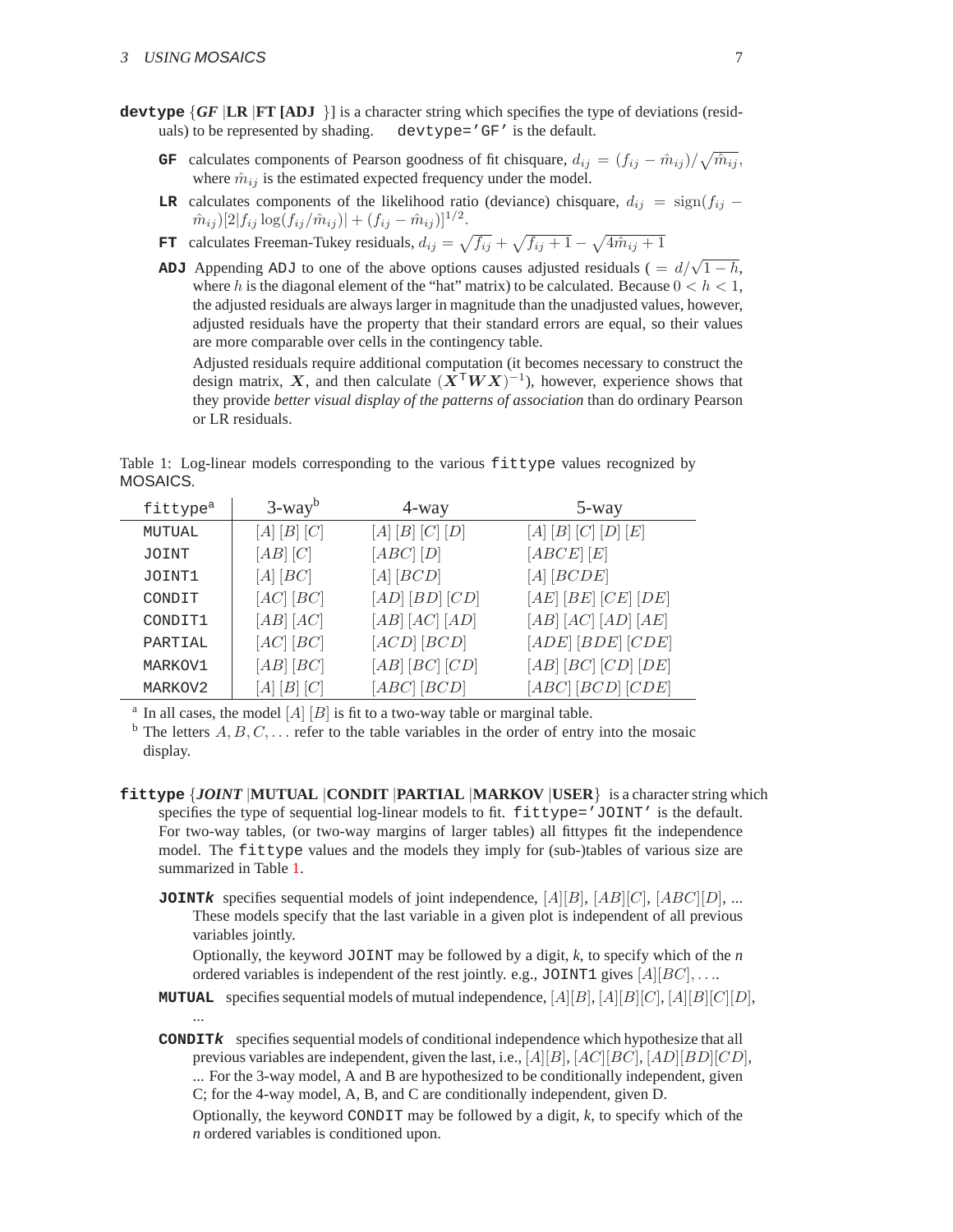- **devtype**  $\{GF \mid LR \mid FT \textbf{[ADJ]} \}$  is a character string which specifies the type of deviations (resid-<br>uals) to be represented by shading. devtype='GF' is the default. uals) to be represented by shading.
	- **GF** calculates components of Pearson goodness of fit chisquare,  $d_{ij} = (f_{ij} \hat{m}_{ij})/\sqrt{\hat{m}_{ij}},$ where  $\hat{m}_{ij}$  is the estimated expected frequency under the model.
	- **LR** calculates components of the likelihood ratio (deviance) chisquare,  $d_{ij} = \text{sign}(f_{ij} f_{ij})$  $\hat{m}_{ij}$ )[2| $f_{ij}$  log( $f_{ij}/\hat{m}_{ij}$ )| + ( $f_{ij} - \hat{m}_{ij}$ )]<sup>1/2</sup>.
	- **FT** calculates Freeman-Tukey residuals,  $d_{ij} = \sqrt{f_{ij}} + \sqrt{f_{ij} + 1} \sqrt{4\hat{m}_{ij} + 1}$
	- **ADJ** Appending ADJ to one of the above options causes adjusted residuals ( =  $d/\sqrt{1-h}$ , where h is the diagonal element of the "hat" matrix) to be calculated. Because  $0 < h < 1$ , the adjusted residuals are always larger in magnitude than the unadjusted values, however, adjusted residuals have the property that their standard errors are equal, so their values are more comparable over cells in the contingency table.

Adjusted residuals require additional computation (it becomes necessary to construct the design matrix, X, and then calculate  $(\hat{X}^{\mathsf{T}}WX)^{-1}$ ), however, experience shows that they provide *better visual display of the patterns of association* than do ordinary Pearson or LR residuals.

<span id="page-6-0"></span>Table 1: Log-linear models corresponding to the various fittype values recognized by MOSAICS.

| fittype <sup>a</sup> | $3$ -way <sup>b</sup> | 4-way            | 5-way                   |
|----------------------|-----------------------|------------------|-------------------------|
| MUTUAL               | $[A][B][C]$           | $[A][B][C][D]$   | $[A][B][C][D][E]$       |
| JOINT                | $[AB]$ $[C]$          | [ABC] [D]        | [ABCE] [E]              |
| JOINT1               | [A][BC]               | $[A]$ $[BCD]$    | $[A] [BCDE]$            |
| CONDIT               | [AC] [BC]             | [AD] [BD] [CD]   | $[AE] [BE] [CE] [DE]$   |
| CONDIT1              | [AB] [AC]             | [AB] [AC] [AD]   | [AB] [AC] [AD] [AE]     |
| PARTIAL              | [AC] [BC]             | [ACD] [BCD]      | $[ADE] [BDE] [CDE]$     |
| MARKOV1              | $[AB]$ $[BC]$         | $[AB] [BC] [CD]$ | $[AB] [BC] [CD] [DE]$   |
| MARKOV2              | $[A][B][C]$           | [ABC] [BCD]      | $[ABC]\, [BCD]\, [CDE]$ |

<sup>a</sup> In all cases, the model  $[A]$   $[B]$  is fit to a two-way table or marginal table.

<sup>b</sup> The letters  $A, B, C, \ldots$  refer to the table variables in the order of entry into the mosaic display.

- **fittype** {*JOINT* |**MUTUAL** |**CONDIT** |**PARTIAL** |**MARKOV** |**USER**} is a character string which specifies the type of sequential log-linear models to fit. fittype='JOINT' is the default. For two-way tables, (or two-way margins of larger tables) all fittypes fit the independence model. The fittype values and the models they imply for (sub-)tables of various size are summarized in Table [1.](#page-6-0)
	- **JOINT** $\boldsymbol{k}$  specifies sequential models of joint independence,  $[A][B], [AB][C], [ABC][D], ...$ These models specify that the last variable in a given plot is independent of all previous variables jointly.

Optionally, the keyword JOINT may be followed by a digit, *k*, to specify which of the *n* ordered variables is independent of the rest jointly. e.g., JOINT1 gives  $[A][BC], \ldots$ .

**MUTUAL** specifies sequential models of mutual independence,  $[A][B], [A][B][C], [A][B][C][D]$ , ...

**CONDITk** specifies sequential models of conditional independence which hypothesize that all previous variables are independent, given the last, i.e.,  $[A][B], [AC][BC], [AD][BD][CD],$ ... For the 3-way model, A and B are hypothesized to be conditionally independent, given C; for the 4-way model, A, B, and C are conditionally independent, given D.

Optionally, the keyword CONDIT may be followed by a digit, *k*, to specify which of the *n* ordered variables is conditioned upon.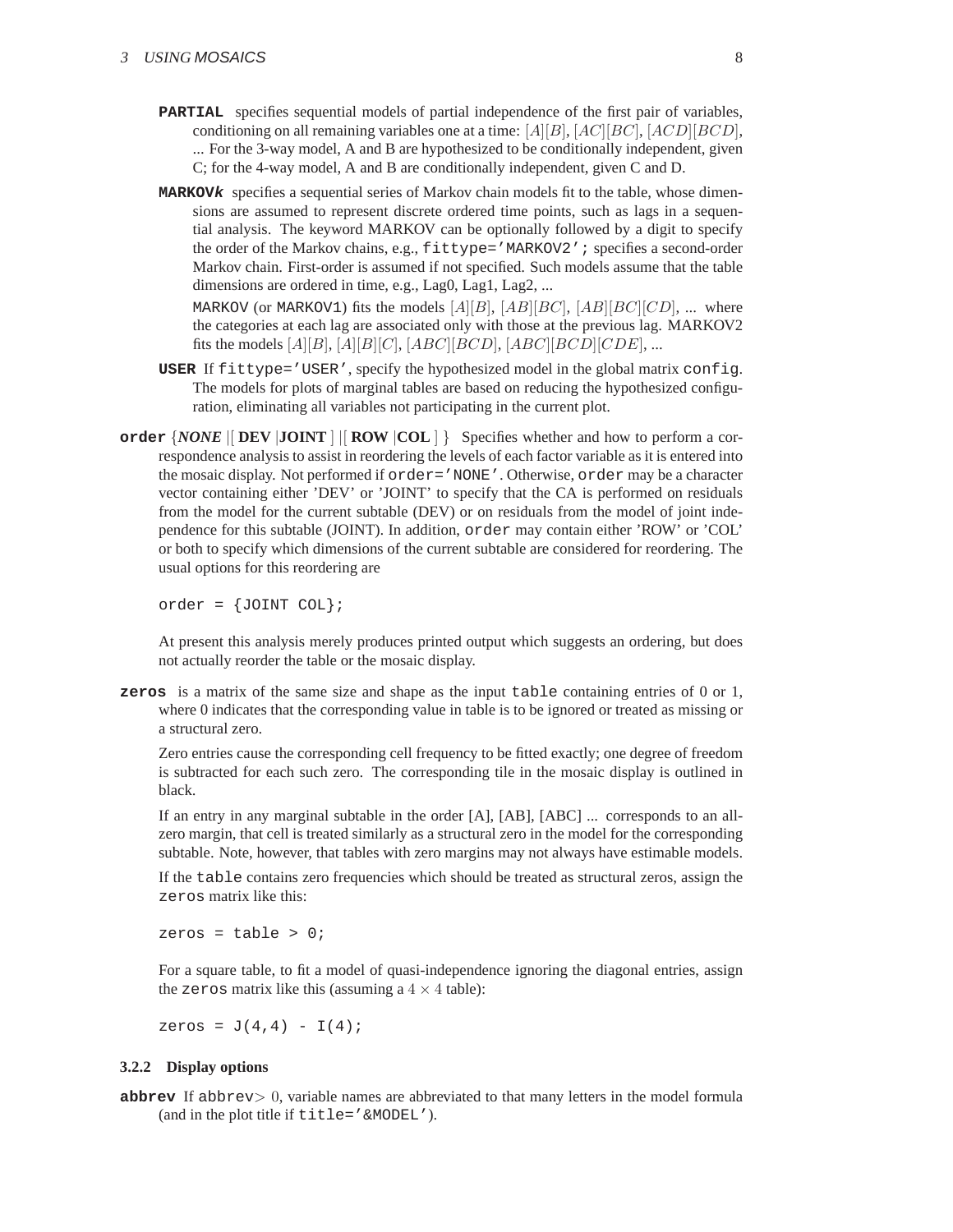- **PARTIAL** specifies sequential models of partial independence of the first pair of variables, conditioning on all remaining variables one at a time:  $[A][B], [AC][BC], [ACD][BCD]$ , ... For the 3-way model, A and B are hypothesized to be conditionally independent, given C; for the 4-way model, A and B are conditionally independent, given C and D.
- **MARKOVk** specifies a sequential series of Markov chain models fit to the table, whose dimensions are assumed to represent discrete ordered time points, such as lags in a sequential analysis. The keyword MARKOV can be optionally followed by a digit to specify the order of the Markov chains, e.g., fittype='MARKOV2'; specifies a second-order Markov chain. First-order is assumed if not specified. Such models assume that the table dimensions are ordered in time, e.g., Lag0, Lag1, Lag2, ...

MARKOV (or MARKOV1) fits the models  $[A][B], [AB][BC], [AB][BC][CD], ...$  where the categories at each lag are associated only with those at the previous lag. MARKOV2 fits the models  $[A][B], [A][B][C], [ABC][BCD], [ABC][BCD][CDE], ...$ 

- **USER** If fittype='USER', specify the hypothesized model in the global matrix config. The models for plots of marginal tables are based on reducing the hypothesized configuration, eliminating all variables not participating in the current plot.
- **order** {*NONE* |[ **DEV** |**JOINT** ] |[ **ROW** |**COL** ] } Specifies whether and how to perform a correspondence analysis to assist in reordering the levels of each factor variable as it is entered into the mosaic display. Not performed if order='NONE'. Otherwise, order may be a character vector containing either 'DEV' or 'JOINT' to specify that the CA is performed on residuals from the model for the current subtable (DEV) or on residuals from the model of joint independence for this subtable (JOINT). In addition, order may contain either 'ROW' or 'COL' or both to specify which dimensions of the current subtable are considered for reordering. The usual options for this reordering are

 $order = \{JOINT COL\}$ 

At present this analysis merely produces printed output which suggests an ordering, but does not actually reorder the table or the mosaic display.

**zeros** is a matrix of the same size and shape as the input table containing entries of 0 or 1, where 0 indicates that the corresponding value in table is to be ignored or treated as missing or a structural zero.

Zero entries cause the corresponding cell frequency to be fitted exactly; one degree of freedom is subtracted for each such zero. The corresponding tile in the mosaic display is outlined in black.

If an entry in any marginal subtable in the order [A], [AB], [ABC] ... corresponds to an allzero margin, that cell is treated similarly as a structural zero in the model for the corresponding subtable. Note, however, that tables with zero margins may not always have estimable models.

If the table contains zero frequencies which should be treated as structural zeros, assign the zeros matrix like this:

zeros = table >  $0$ ;

For a square table, to fit a model of quasi-independence ignoring the diagonal entries, assign the zeros matrix like this (assuming a  $4 \times 4$  table):

zeros =  $J(4,4) - I(4)$ ;

### **3.2.2 Display options**

**abbrev** If abbrev $> 0$ , variable names are abbreviated to that many letters in the model formula (and in the plot title if title='&MODEL').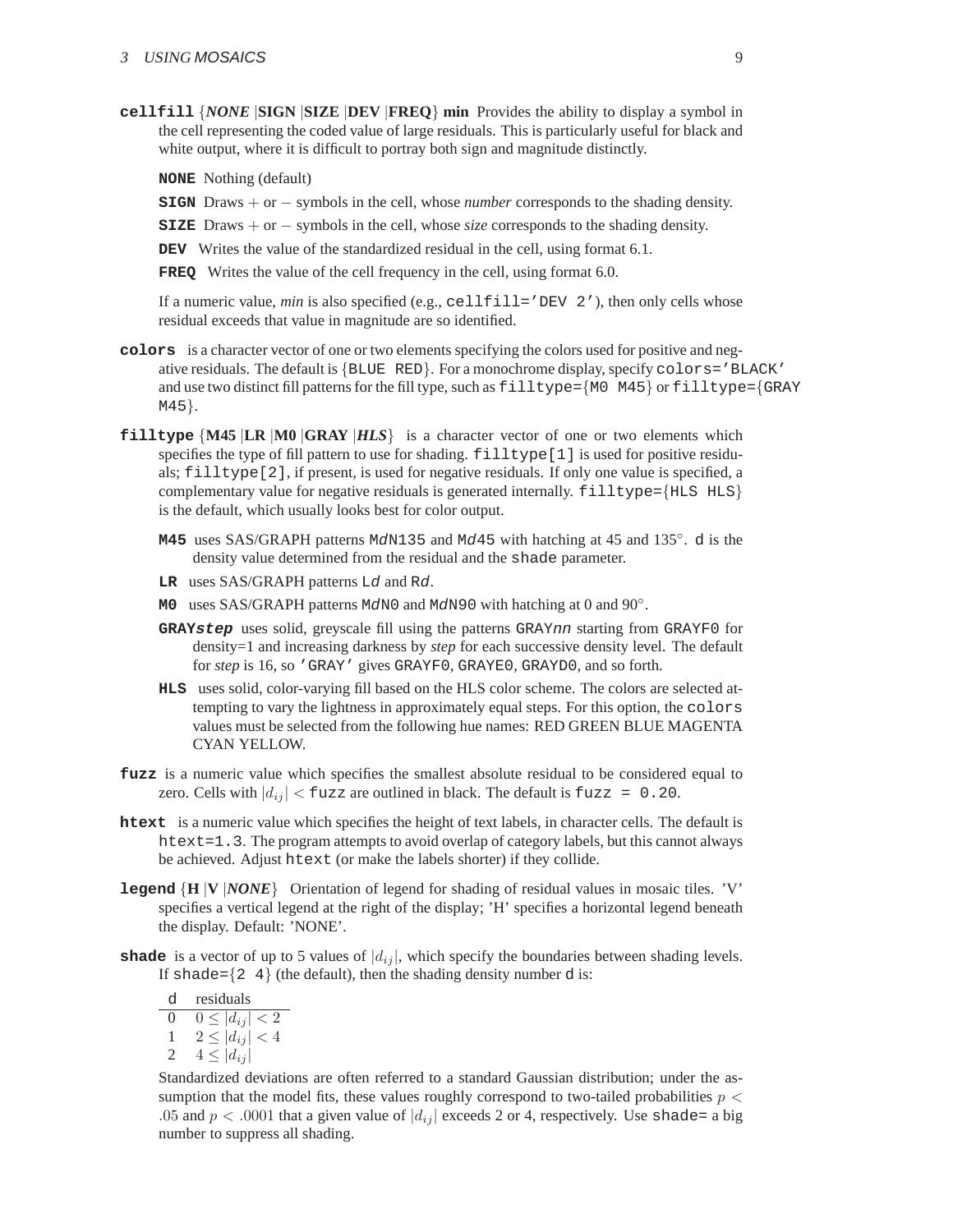**cellfill** {*NONE* |**SIGN** |**SIZE** |**DEV** |**FREQ**} **min** Provides the ability to display a symbol in the cell representing the coded value of large residuals. This is particularly useful for black and white output, where it is difficult to portray both sign and magnitude distinctly.

**NONE** Nothing (default)

**SIGN** Draws + or − symbols in the cell, whose *number* corresponds to the shading density.

- **SIZE** Draws + or − symbols in the cell, whose *size* corresponds to the shading density.
- **DEV** Writes the value of the standardized residual in the cell, using format 6.1.

**FREQ** Writes the value of the cell frequency in the cell, using format 6.0.

If a numeric value, *min* is also specified (e.g., cellfill='DEV 2'), then only cells whose residual exceeds that value in magnitude are so identified.

- **colors** is a character vector of one or two elements specifying the colors used for positive and negative residuals. The default is  $\{B\text{LUE } RED\}$ . For a monochrome display, specify  $colors = 'B\text{LACK}$ ' and use two distinct fill patterns for the fill type, such as  $\text{filltype}=\{MO\ M45\}$  or  $\text{filltype}=\{GRAY\}$ M45}.
- **filltype** {**M45** |**LR** |**M0** |**GRAY** |*HLS*} is a character vector of one or two elements which specifies the type of fill pattern to use for shading. filltype[1] is used for positive residuals; filltype[2], if present, is used for negative residuals. If only one value is specified, a complementary value for negative residuals is generated internally.  $\text{filltype}=\{\text{HLS HLS}\}$ is the default, which usually looks best for color output.
	- M45 uses SAS/GRAPH patterns MdN135 and Md45 with hatching at 45 and 135<sup>°</sup>. d is the density value determined from the residual and the shade parameter.
	- **LR** uses SAS/GRAPH patterns Ld and Rd.
	- **M0** uses SAS/GRAPH patterns MdN0 and MdN90 with hatching at 0 and 90°.
	- **GRAYstep** uses solid, greyscale fill using the patterns GRAYnn starting from GRAYF0 for density=1 and increasing darkness by *step* for each successive density level. The default for *step* is 16, so 'GRAY' gives GRAYF0, GRAYE0, GRAYD0, and so forth.
	- **HLS** uses solid, color-varying fill based on the HLS color scheme. The colors are selected attempting to vary the lightness in approximately equal steps. For this option, the colors values must be selected from the following hue names: RED GREEN BLUE MAGENTA CYAN YELLOW.
- **fuzz** is a numeric value which specifies the smallest absolute residual to be considered equal to zero. Cells with  $|d_{ij}| <$  fuzz are outlined in black. The default is fuzz = 0.20.
- **htext** is a numeric value which specifies the height of text labels, in character cells. The default is htext=1.3. The program attempts to avoid overlap of category labels, but this cannot always be achieved. Adjust htext (or make the labels shorter) if they collide.
- **legend** {**H** |**V** |*NONE*} Orientation of legend for shading of residual values in mosaic tiles. 'V' specifies a vertical legend at the right of the display; 'H' specifies a horizontal legend beneath the display. Default: 'NONE'.
- **shade** is a vector of up to 5 values of  $|d_{ij}|$ , which specify the boundaries between shading levels. If shade= $\{2, 4\}$  (the default), then the shading density number d is:

| residuals       |
|-----------------|
| $\leq  d_{ij} $ |
| $ d_{ij} $      |
| $ d_{ij} $      |

Standardized deviations are often referred to a standard Gaussian distribution; under the assumption that the model fits, these values roughly correspond to two-tailed probabilities  $p <$ .05 and  $p < .0001$  that a given value of  $|d_{ij}|$  exceeds 2 or 4, respectively. Use shade= a big number to suppress all shading.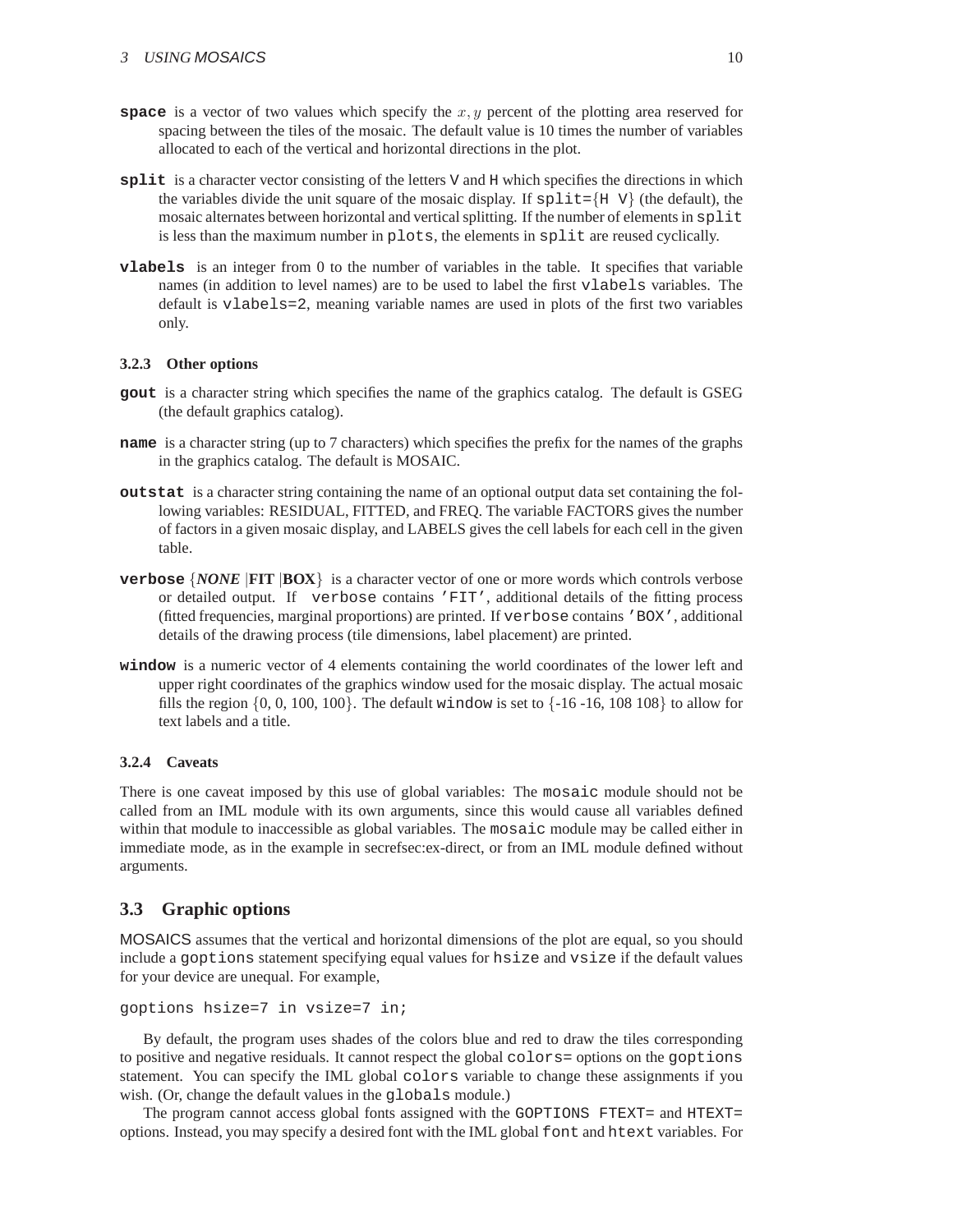- **space** is a vector of two values which specify the  $x, y$  percent of the plotting area reserved for spacing between the tiles of the mosaic. The default value is 10 times the number of variables allocated to each of the vertical and horizontal directions in the plot.
- **split** is a character vector consisting of the letters V and H which specifies the directions in which the variables divide the unit square of the mosaic display. If  $\text{split}=\{H \mid V\}$  (the default), the mosaic alternates between horizontal and vertical splitting. If the number of elements in split is less than the maximum number in plots, the elements in split are reused cyclically.
- **vlabels** is an integer from 0 to the number of variables in the table. It specifies that variable names (in addition to level names) are to be used to label the first vlabels variables. The default is vlabels=2, meaning variable names are used in plots of the first two variables only.

### **3.2.3 Other options**

- **gout** is a character string which specifies the name of the graphics catalog. The default is GSEG (the default graphics catalog).
- **name** is a character string (up to 7 characters) which specifies the prefix for the names of the graphs in the graphics catalog. The default is MOSAIC.
- **outstat** is a character string containing the name of an optional output data set containing the following variables: RESIDUAL, FITTED, and FREQ. The variable FACTORS gives the number of factors in a given mosaic display, and LABELS gives the cell labels for each cell in the given table.
- **verbose** {*NONE* |**FIT** |**BOX**} is a character vector of one or more words which controls verbose or detailed output. If verbose contains 'FIT', additional details of the fitting process (fitted frequencies, marginal proportions) are printed. If verbose contains 'BOX', additional details of the drawing process (tile dimensions, label placement) are printed.
- **window** is a numeric vector of 4 elements containing the world coordinates of the lower left and upper right coordinates of the graphics window used for the mosaic display. The actual mosaic fills the region  $\{0, 0, 100, 100\}$ . The default window is set to  $\{-16 - 16, 108, 108\}$  to allow for text labels and a title.

### **3.2.4 Caveats**

There is one caveat imposed by this use of global variables: The mosaic module should not be called from an IML module with its own arguments, since this would cause all variables defined within that module to inaccessible as global variables. The mosaic module may be called either in immediate mode, as in the example in secrefsec:ex-direct, or from an IML module defined without arguments.

### <span id="page-9-0"></span>**3.3 Graphic options**

MOSAICS assumes that the vertical and horizontal dimensions of the plot are equal, so you should include a goptions statement specifying equal values for hsize and vsize if the default values for your device are unequal. For example,

```
goptions hsize=7 in vsize=7 in;
```
By default, the program uses shades of the colors blue and red to draw the tiles corresponding to positive and negative residuals. It cannot respect the global colors= options on the goptions statement. You can specify the IML global colors variable to change these assignments if you wish. (Or, change the default values in the globals module.)

The program cannot access global fonts assigned with the GOPTIONS FTEXT= and HTEXT= options. Instead, you may specify a desired font with the IML global font and htext variables. For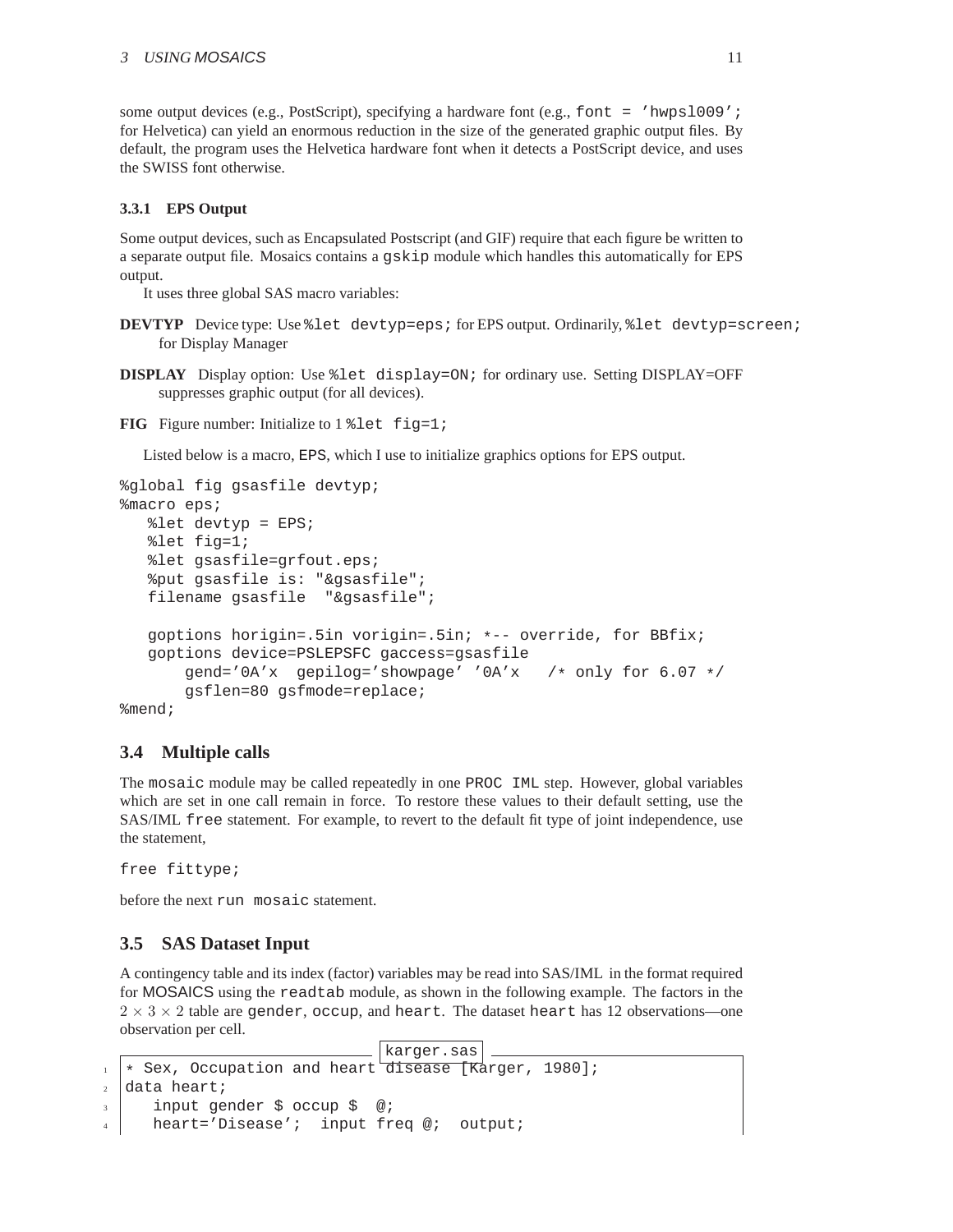some output devices (e.g., PostScript), specifying a hardware font (e.g., font = 'hwpsl009'; for Helvetica) can yield an enormous reduction in the size of the generated graphic output files. By default, the program uses the Helvetica hardware font when it detects a PostScript device, and uses the SWISS font otherwise.

### **3.3.1 EPS Output**

Some output devices, such as Encapsulated Postscript (and GIF) require that each figure be written to a separate output file. Mosaics contains a gskip module which handles this automatically for EPS output.

It uses three global SAS macro variables:

- **DEVTYP** Device type: Use %let devtyp=eps; for EPS output. Ordinarily, %let devtyp=screen; for Display Manager
- **DISPLAY** Display option: Use %let display=ON; for ordinary use. Setting DISPLAY=OFF suppresses graphic output (for all devices).
- **FIG** Figure number: Initialize to 1 % let fig=1;

Listed below is a macro, EPS, which I use to initialize graphics options for EPS output.

```
%global fig gsasfile devtyp;
%macro eps;
  %let devtyp = EPS;
  %let fig=1;
  %let gsasfile=grfout.eps;
   %put gsasfile is: "&gsasfile";
  filename gsasfile "&gsasfile";
  goptions horigin=.5in vorigin=.5in; *-- override, for BBfix;
  goptions device=PSLEPSFC gaccess=gsasfile
       gend='0A'x gepilog='showpage' '0A'x /* only for 6.07 */
       gsflen=80 gsfmode=replace;
%mend;
```
### <span id="page-10-0"></span>**3.4 Multiple calls**

The mosaic module may be called repeatedly in one PROC IML step. However, global variables which are set in one call remain in force. To restore these values to their default setting, use the SAS/IML free statement. For example, to revert to the default fit type of joint independence, use the statement,

free fittype;

before the next run mosaic statement.

### <span id="page-10-1"></span>**3.5 SAS Dataset Input**

A contingency table and its index (factor) variables may be read into SAS/IML in the format required for MOSAICS using the readtab module, as shown in the following example. The factors in the  $2 \times 3 \times 2$  table are gender, occup, and heart. The dataset heart has 12 observations—one observation per cell.

```
karger.sas
  1 * Sex, Occupation and heart disease [Karger, 1980];
2 data heart;
     input gender $ occup $ @;
     heart='Disease'; input freq @; output;
```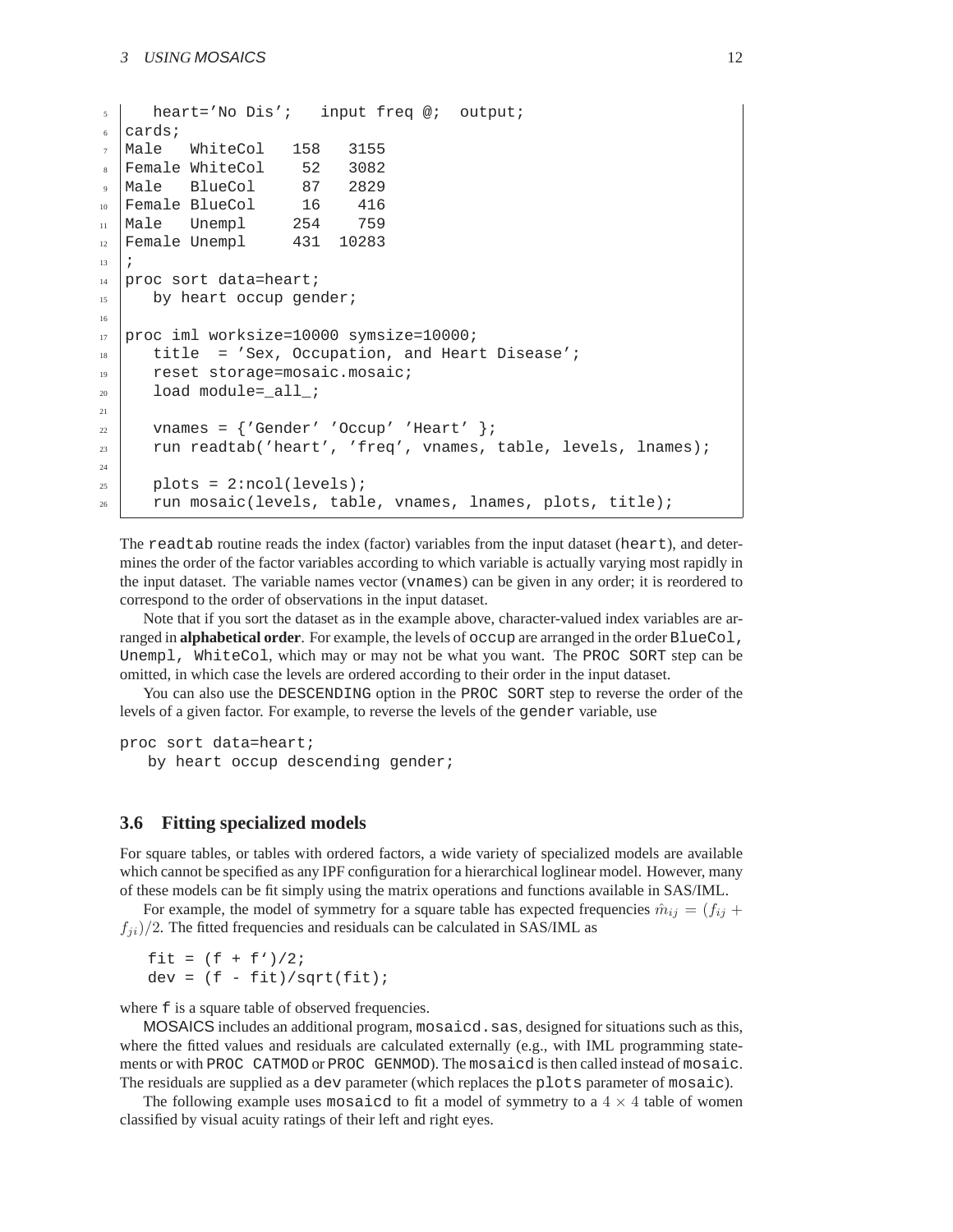```
5 \mid heart='No Dis'; input freq @; output;
6 cards;
7 \text{ Male} WhiteCol 158 3155
8 Female WhiteCol 52 3082
9 Male BlueCol 87 2829
10 Female BlueCol 16 416
11 Male Unempl 254 759
12 Female Unempl 431 10283
13 ;
_{14} proc sort data=heart;
15 by heart occup gender;
16
17 proc iml worksize=10000 symsize=10000;
18 title = 'Sex, Occupation, and Heart Disease';
19 reset storage=mosaic.mosaic;
_{20} load module=_all_;
21
22 vnames = {'Gender' 'Occup' 'Heart' };
23 run readtab('heart', 'freq', vnames, table, levels, lnames);
24
_{25} | plots = 2:ncol(levels);
_{26} run mosaic(levels, table, vnames, lnames, plots, title);
```
The readtab routine reads the index (factor) variables from the input dataset (heart), and determines the order of the factor variables according to which variable is actually varying most rapidly in the input dataset. The variable names vector (vnames) can be given in any order; it is reordered to correspond to the order of observations in the input dataset.

Note that if you sort the dataset as in the example above, character-valued index variables are arranged in **alphabetical order**. For example, the levels of occup are arranged in the order BlueCol, Unempl, WhiteCol, which may or may not be what you want. The PROC SORT step can be omitted, in which case the levels are ordered according to their order in the input dataset.

You can also use the DESCENDING option in the PROC SORT step to reverse the order of the levels of a given factor. For example, to reverse the levels of the gender variable, use

```
proc sort data=heart;
```
by heart occup descending gender;

### <span id="page-11-0"></span>**3.6 Fitting specialized models**

For square tables, or tables with ordered factors, a wide variety of specialized models are available which cannot be specified as any IPF configuration for a hierarchical loglinear model. However, many of these models can be fit simply using the matrix operations and functions available in SAS/IML.

For example, the model of symmetry for a square table has expected frequencies  $\hat{m}_{ij} = (f_{ij} + f_{ij})$  $f_{ii}/2$ . The fitted frequencies and residuals can be calculated in SAS/IML as

fit =  $(f + f')/2;$  $dev = (f - fit)/sqrt(fit);$ 

where  $f$  is a square table of observed frequencies.

MOSAICS includes an additional program, mosaicd. sas, designed for situations such as this, where the fitted values and residuals are calculated externally (e.g., with IML programming statements or with PROC CATMOD or PROC GENMOD). The mosaicd is then called instead of mosaic. The residuals are supplied as a dev parameter (which replaces the plots parameter of mosaic).

The following example uses mosaicd to fit a model of symmetry to a  $4 \times 4$  table of women classified by visual acuity ratings of their left and right eyes.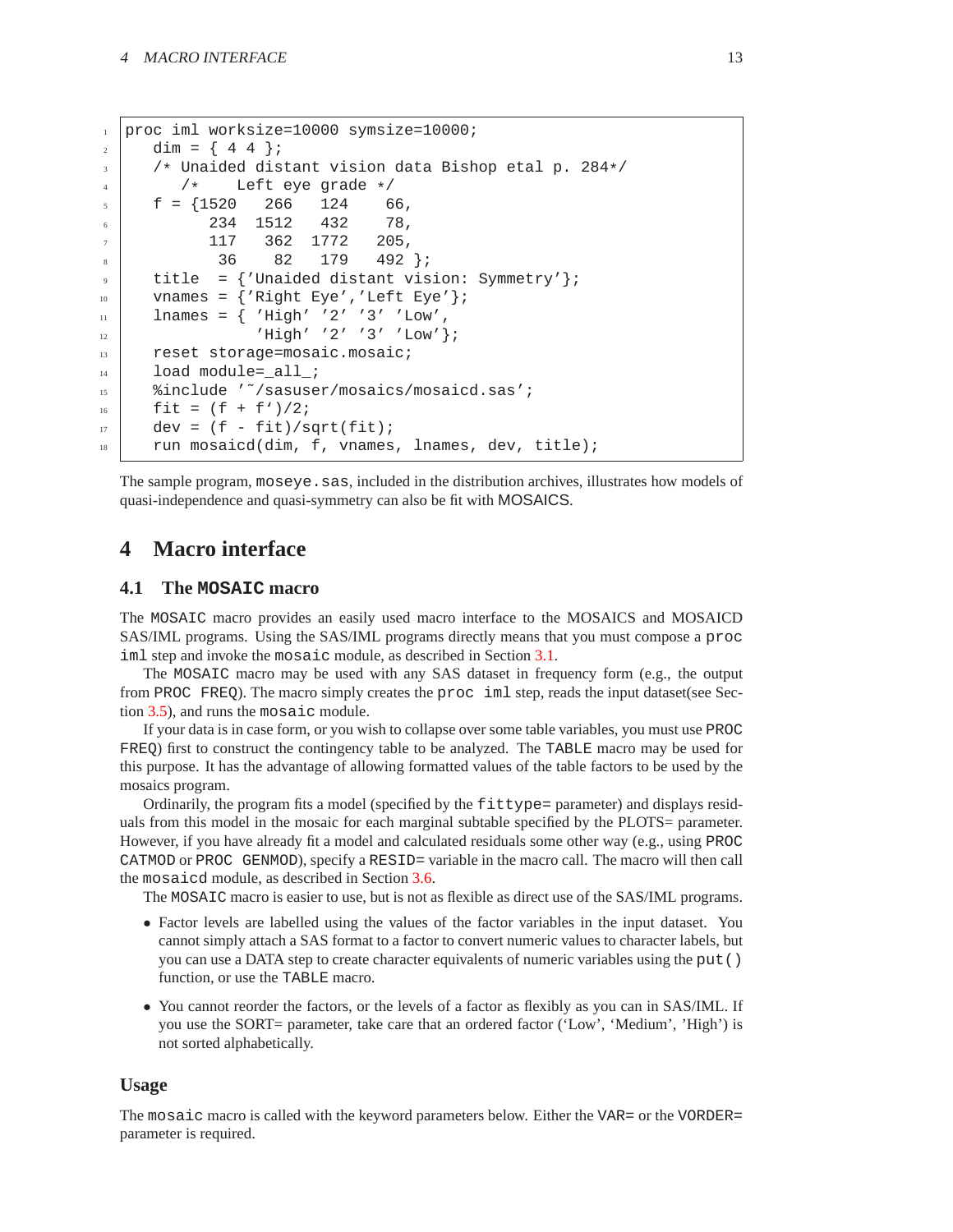```
1 proc iml worksize=10000 symsize=10000;
2 \mid \text{dim} = \{ 44 \};3 /* Unaided distant vision data Bishop etal p. 284*/
4 /* Left eye grade */
5 \mid f = \{1520 \quad 266 \quad 1246 234 1512 432 78,
            7 117 362 1772 205,
             8 36 82 179 492 };
9 \mid title = {'Unaided distant vision: Symmetry'};
_{10} vnames = {'Right Eye','Left Eye'};
_{11} lnames = { 'High' '2' '3' 'Low',
\begin{array}{ccc} \text{12} & \text{12} & \text{13} & \text{14} \end{array}13 reset storage=mosaic.mosaic;
_{14} | load module=_all_;
15 | %include '~/sasuser/mosaics/mosaicd.sas';
_{16} | fit = (f + f') / 2;
17 dev = (f - fit)/sqrt(fit);18 run mosaicd(dim, f, vnames, lnames, dev, title);
```
The sample program, moseye.sas, included in the distribution archives, illustrates how models of quasi-independence and quasi-symmetry can also be fit with MOSAICS.

### <span id="page-12-0"></span>**4 Macro interface**

### <span id="page-12-1"></span>**4.1 The MOSAIC macro**

The MOSAIC macro provides an easily used macro interface to the MOSAICS and MOSAICD SAS/IML programs. Using the SAS/IML programs directly means that you must compose a proc iml step and invoke the mosaic module, as described in Section [3.1.](#page-4-0)

The MOSAIC macro may be used with any SAS dataset in frequency form (e.g., the output from PROC FREQ). The macro simply creates the proc iml step, reads the input dataset(see Section [3.5\)](#page-10-1), and runs the mosaic module.

If your data is in case form, or you wish to collapse over some table variables, you must use PROC FREQ) first to construct the contingency table to be analyzed. The TABLE macro may be used for this purpose. It has the advantage of allowing formatted values of the table factors to be used by the mosaics program.

Ordinarily, the program fits a model (specified by the fittype= parameter) and displays residuals from this model in the mosaic for each marginal subtable specified by the PLOTS= parameter. However, if you have already fit a model and calculated residuals some other way (e.g., using PROC CATMOD or PROC GENMOD), specify a RESID= variable in the macro call. The macro will then call the mosaicd module, as described in Section [3.6.](#page-11-0)

The MOSAIC macro is easier to use, but is not as flexible as direct use of the SAS/IML programs.

- Factor levels are labelled using the values of the factor variables in the input dataset. You cannot simply attach a SAS format to a factor to convert numeric values to character labels, but you can use a DATA step to create character equivalents of numeric variables using the put() function, or use the TABLE macro.
- You cannot reorder the factors, or the levels of a factor as flexibly as you can in SAS/IML. If you use the SORT= parameter, take care that an ordered factor ('Low', 'Medium', 'High') is not sorted alphabetically.

### **Usage**

The mosaic macro is called with the keyword parameters below. Either the VAR= or the VORDER= parameter is required.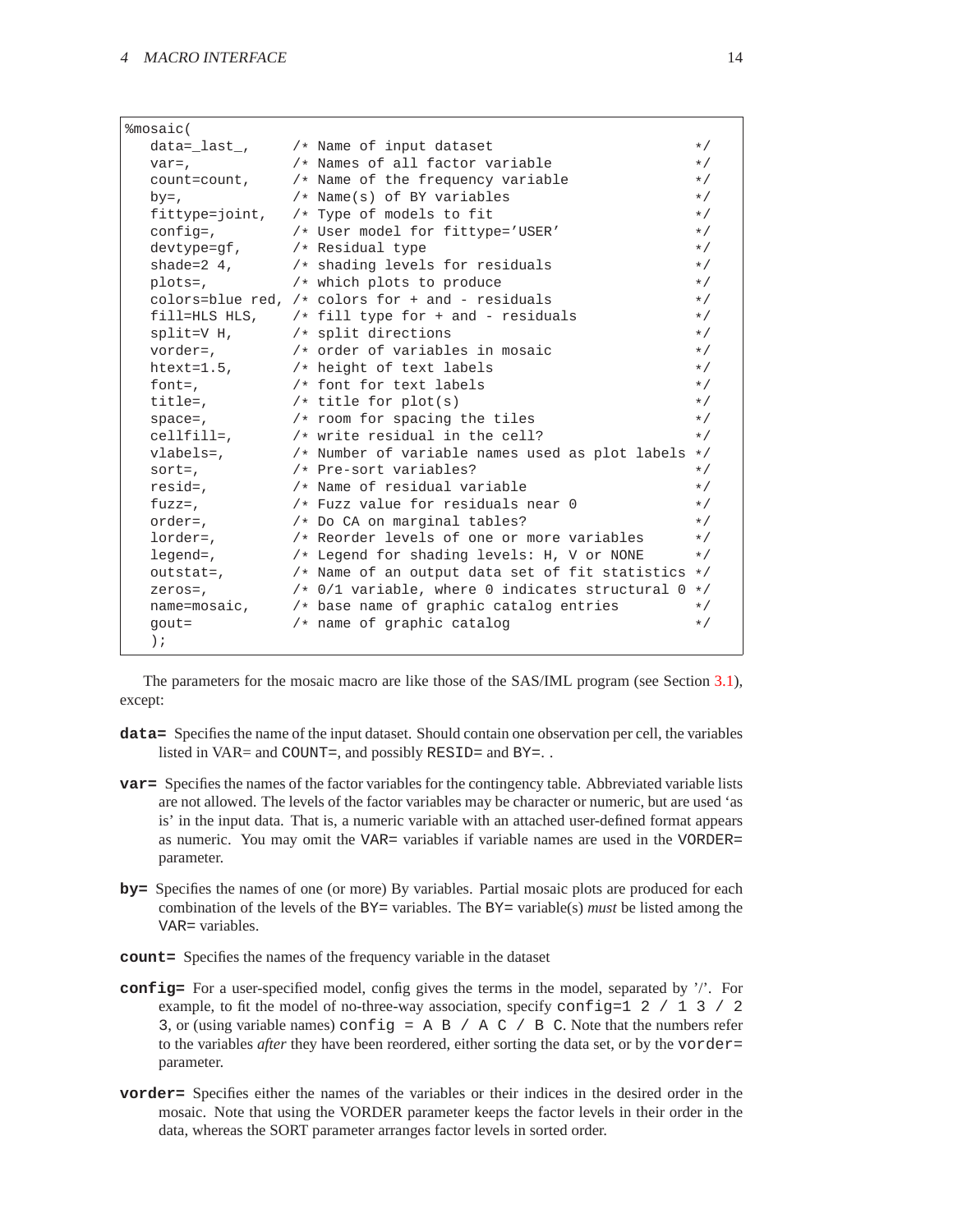| %mosaic(                            |                                                                               |          |
|-------------------------------------|-------------------------------------------------------------------------------|----------|
|                                     | data=_last_, /* Name of input dataset                                         | $\star/$ |
| $var =$ ,                           | /* Names of all factor variable                                               | $\star/$ |
| count=count,                        | /* Name of the frequency variable                                             | $\star/$ |
| $by=$ ,                             | /* Name(s) of BY variables                                                    | $\star/$ |
|                                     | fittype=joint, $/*$ Type of models to fit                                     | $\star/$ |
| $config=$ ,                         | /* User model for fittype='USER'                                              | $\star/$ |
| $devtype = qf$ , $/* Residual type$ |                                                                               | $\star/$ |
|                                     | shade=2 $4$ , $\rightarrow$ shading levels for residuals                      | $\star/$ |
| plots=,                             | /* which plots to produce                                                     | $\star/$ |
|                                     | colors=blue red, $/*$ colors for $+$ and $-$ residuals                        | $\star/$ |
|                                     | fill=HLS HLS, $\overline{ }$ /* fill type for + and - residuals               | $\star/$ |
| split=V H,                          | /* split directions                                                           | $\star/$ |
| vorder=.                            | /* order of variables in mosaic                                               | $\star/$ |
|                                     | htext=1.5, /* height of text labels                                           | $\star/$ |
| font=,                              | /* font for text labels                                                       | $\star/$ |
| title=.                             | /* title for $plot(s)$                                                        | $\star/$ |
| space=,                             | $/*$ room for spacing the tiles                                               | $\star/$ |
|                                     | cellfill=, $/*$ write residual in the cell?                                   | $\star/$ |
| vlabels=,                           | /* Number of variable names used as plot labels $*/$                          |          |
| $sort =$ ,                          | /* Pre-sort variables?                                                        | $\star/$ |
| resid=,                             | /* Name of residual variable                                                  | $\star/$ |
| $fuzz =$ ,                          | /* Fuzz value for residuals near 0                                            | $\star/$ |
| order=,                             | /* Do CA on marginal tables?                                                  | $\star/$ |
| lorder=,                            | /* Reorder levels of one or more variables                                    | $\star/$ |
| legend=,                            | /* Legend for shading levels: H, V or NONE                                    | $\star/$ |
| outstat=,                           | /* Name of an output data set of fit statistics $*/$                          |          |
| zeros=,                             | /* $0/1$ variable, where 0 indicates structural 0 */                          |          |
|                                     | name=mosaic, $\overline{\phantom{a}}$ /* base name of graphic catalog entries | $\star/$ |
| $qout =$                            | $/*$ name of graphic catalog                                                  | $\star/$ |
| $\,$ ;                              |                                                                               |          |
|                                     |                                                                               |          |

The parameters for the mosaic macro are like those of the SAS/IML program (see Section [3.1\)](#page-4-0), except:

- **data=** Specifies the name of the input dataset. Should contain one observation per cell, the variables listed in VAR= and COUNT=, and possibly RESID= and BY=..
- **var=** Specifies the names of the factor variables for the contingency table. Abbreviated variable lists are not allowed. The levels of the factor variables may be character or numeric, but are used 'as is' in the input data. That is, a numeric variable with an attached user-defined format appears as numeric. You may omit the VAR= variables if variable names are used in the VORDER= parameter.
- **by=** Specifies the names of one (or more) By variables. Partial mosaic plots are produced for each combination of the levels of the BY= variables. The BY= variable(s) *must* be listed among the VAR= variables.
- **count=** Specifies the names of the frequency variable in the dataset
- **config=** For a user-specified model, config gives the terms in the model, separated by '/'. For example, to fit the model of no-three-way association, specify configured 2 / 1 3 / 2 3, or (using variable names) config =  $A \cdot B$  /  $A \cdot C$  /  $B \cdot C$ . Note that the numbers refer to the variables *after* they have been reordered, either sorting the data set, or by the vorder= parameter.
- **vorder=** Specifies either the names of the variables or their indices in the desired order in the mosaic. Note that using the VORDER parameter keeps the factor levels in their order in the data, whereas the SORT parameter arranges factor levels in sorted order.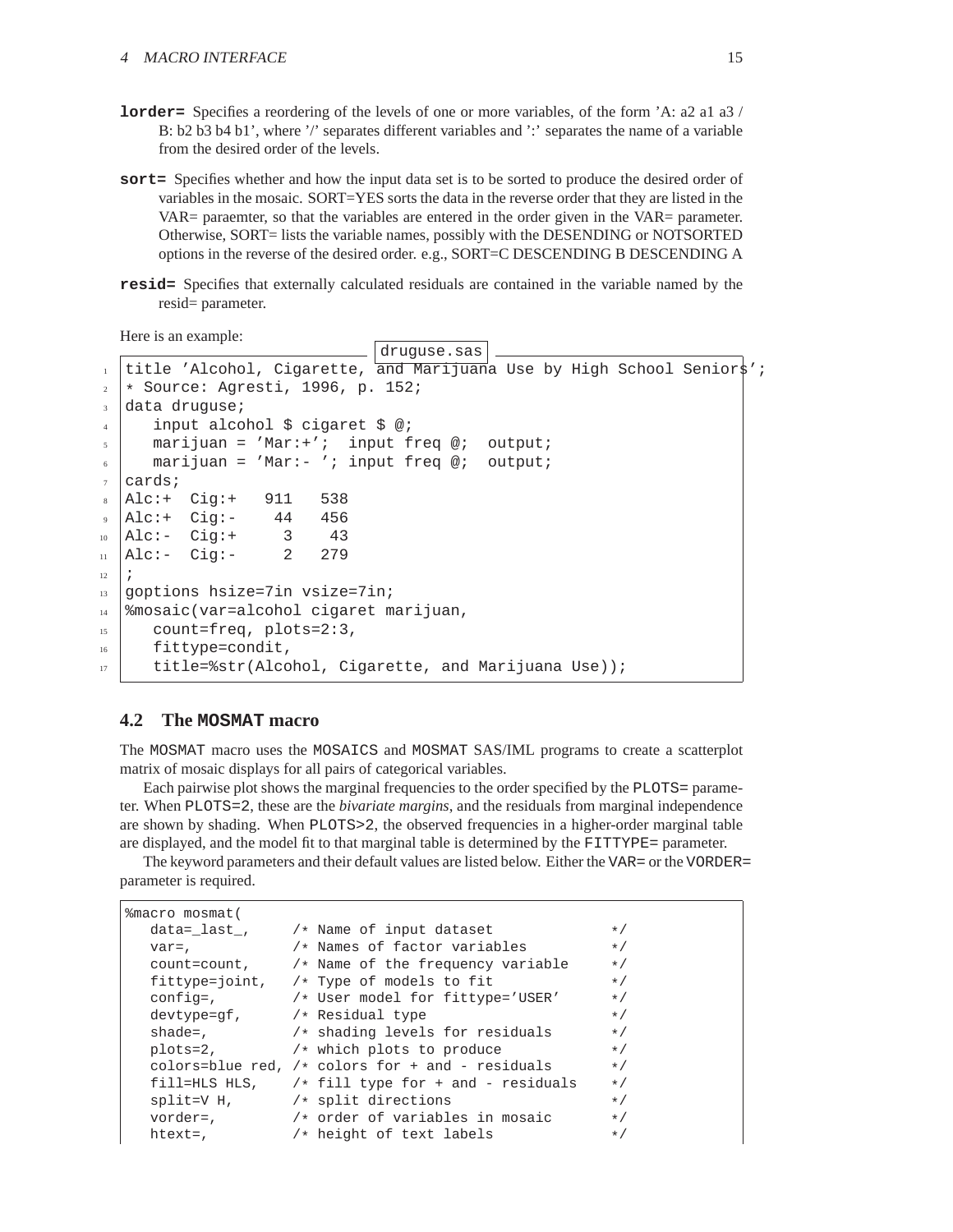- **lorder=** Specifies a reordering of the levels of one or more variables, of the form 'A: a2 a1 a3 / B: b2 b3 b4 b1', where '/' separates different variables and ':' separates the name of a variable from the desired order of the levels.
- **sort=** Specifies whether and how the input data set is to be sorted to produce the desired order of variables in the mosaic. SORT=YES sorts the data in the reverse order that they are listed in the VAR= paraemter, so that the variables are entered in the order given in the VAR= parameter. Otherwise, SORT= lists the variable names, possibly with the DESENDING or NOTSORTED options in the reverse of the desired order. e.g., SORT=C DESCENDING B DESCENDING A
- **resid=** Specifies that externally calculated residuals are contained in the variable named by the resid= parameter.

Here is an example:

```
druguse.sas
  title 'Alcohol, Cigarette, and Marijuana Use by High School Senior$';
2 \times Source: Agresti, 1996, p. 152;
3 data druguse;
4 input alcohol $ cigaret $ @;
5 marijuan = 'Mar:+'; input freq @; output;
     \text{marijuan} = 'Mar:- 'i \text{ input freq } @i \text{ output } i7 \vert \text{cards};
8 Alc:+ Cig:+ 911 538
9 Alc:+ Cig:- 44 456
  Alc:- Cig: + 3 43
_{11} | Alc: - Cig: - 2 279
12 ;
13 goptions hsize=7in vsize=7in;
14 %mosaic(var=alcohol cigaret marijuan,
15 count=freq, plots=2:3,
16 fittype=condit,
17 title=%str(Aleohol, Cigarette, and Marijuana Use);
```
### <span id="page-14-0"></span>**4.2 The MOSMAT macro**

The MOSMAT macro uses the MOSAICS and MOSMAT SAS/IML programs to create a scatterplot matrix of mosaic displays for all pairs of categorical variables.

Each pairwise plot shows the marginal frequencies to the order specified by the PLOTS= parameter. When PLOTS=2, these are the *bivariate margins*, and the residuals from marginal independence are shown by shading. When PLOTS>2, the observed frequencies in a higher-order marginal table are displayed, and the model fit to that marginal table is determined by the FITTYPE= parameter.

The keyword parameters and their default values are listed below. Either the VAR= or the VORDER= parameter is required.

```
%macro mosmat(
    data=_last_, \qquad /* Name of input dataset */
    var=, \begin{array}{ccc} & & \mbox{/} \ast \text{ Names of factor variables} & & \star \text{/} \\ \text{count=count,} & & \mbox{/} \ast \text{Name of the frequency variable} & & \star \text{/} \end{array}\frac{1}{x} Name of the frequency variable \frac{x}{x}<br>\frac{1}{x} Type of models to fit
    fittype=joint, /* Type of models to fit
    config=, \rightarrow /* User model for fittype='USER' */<br>devtype=gf, \rightarrow /* Residual type */
                          /* Residual type */
    shade=, \frac{1}{x} shading levels for residuals \frac{x}{x}plots=2, \rightarrow /* which plots to produce */
    colors=blue red, /* colors for + and - residuals */fill=HLS HLS, \rightarrow fill type for + and - residuals */<br>split=V H, \rightarrow * split directions */
    split=V H, \begin{array}{ccc} \star & \star & \star & \star \end{array} worder = \begin{array}{ccc} \star & \star & \star & \star \end{array}/* order of variables in mosaic */
    htext=, /* height of text labels */
```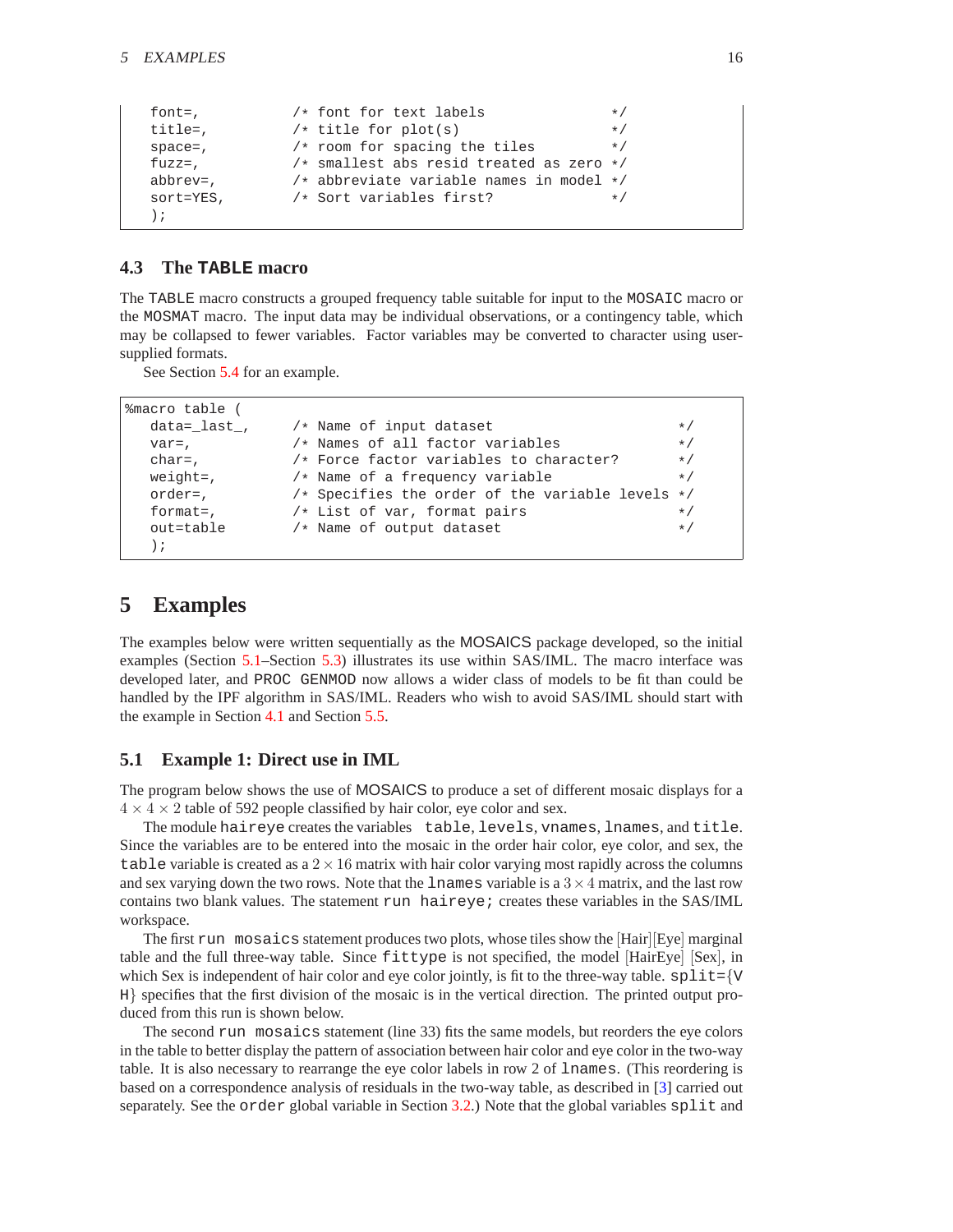<span id="page-15-3"></span>

| font=,       | /* font for text labels                      | $\star/$  |
|--------------|----------------------------------------------|-----------|
| $title =$ ,  | $/*$ title for plot(s)                       | $\star$ / |
| $space =$ ,  | $/*$ room for spacing the tiles              | $\star$ / |
| $fuzz =$ ,   | $/*$ smallest abs resid treated as zero $*/$ |           |
| abbrev=,     | /* abbreviate variable names in model */     |           |
| $sort=YES$ , | /* Sort variables first?                     | $\star$ / |
|              |                                              |           |

### <span id="page-15-0"></span>**4.3 The TABLE macro**

The TABLE macro constructs a grouped frequency table suitable for input to the MOSAIC macro or the MOSMAT macro. The input data may be individual observations, or a contingency table, which may be collapsed to fewer variables. Factor variables may be converted to character using usersupplied formats.

See Section [5.4](#page-22-0) for an example.

| %macro table (  |                                                    |           |
|-----------------|----------------------------------------------------|-----------|
| data= last,     | $/*$ Name of input dataset                         | $*$       |
| $\text{var}=$ , | /* Names of all factor variables                   | $\star/$  |
| $char=$ ,       | /* Force factor variables to character?            | $\star/$  |
| $weight =$ ,    | /* Name of a frequency variable                    | $\star/$  |
| order=,         | /* Specifies the order of the variable levels $*/$ |           |
| format=,        | /* List of var, format pairs                       | $*$       |
| out=table       | /* Name of output dataset                          | $\star$ / |
| );              |                                                    |           |

### <span id="page-15-1"></span>**5 Examples**

The examples below were written sequentially as the MOSAICS package developed, so the initial examples (Section [5.1–](#page-15-2)Section [5.3\)](#page-21-0) illustrates its use within SAS/IML. The macro interface was developed later, and PROC GENMOD now allows a wider class of models to be fit than could be handled by the IPF algorithm in SAS/IML. Readers who wish to avoid SAS/IML should start with the example in Section [4.1](#page-12-1) and Section [5.5.](#page-23-0)

### <span id="page-15-2"></span>**5.1 Example 1: Direct use in IML**

The program below shows the use of MOSAICS to produce a set of different mosaic displays for a  $4 \times 4 \times 2$  table of 592 people classified by hair color, eye color and sex.

The module haireye creates the variables table, levels, vnames, lnames, and title. Since the variables are to be entered into the mosaic in the order hair color, eye color, and sex, the table variable is created as a  $2 \times 16$  matrix with hair color varying most rapidly across the columns and sex varying down the two rows. Note that the lnames variable is a  $3 \times 4$  matrix, and the last row contains two blank values. The statement run haireye; creates these variables in the SAS/IML workspace.

The first run mosaics statement produces two plots, whose tiles show the [Hair][Eye] marginal table and the full three-way table. Since fittype is not specified, the model [HairEye] [Sex], in which Sex is independent of hair color and eye color jointly, is fit to the three-way table.  $\text{split}=\{v$ H} specifies that the first division of the mosaic is in the vertical direction. The printed output produced from this run is shown below.

The second run mosaics statement (line 33) fits the same models, but reorders the eye colors in the table to better display the pattern of association between hair color and eye color in the two-way table. It is also necessary to rearrange the eye color labels in row 2 of lnames. (This reordering is based on a correspondence analysis of residuals in the two-way table, as described in [\[3\]](#page-28-2) carried out separately. See the order global variable in Section [3.2.](#page-5-0)) Note that the global variables split and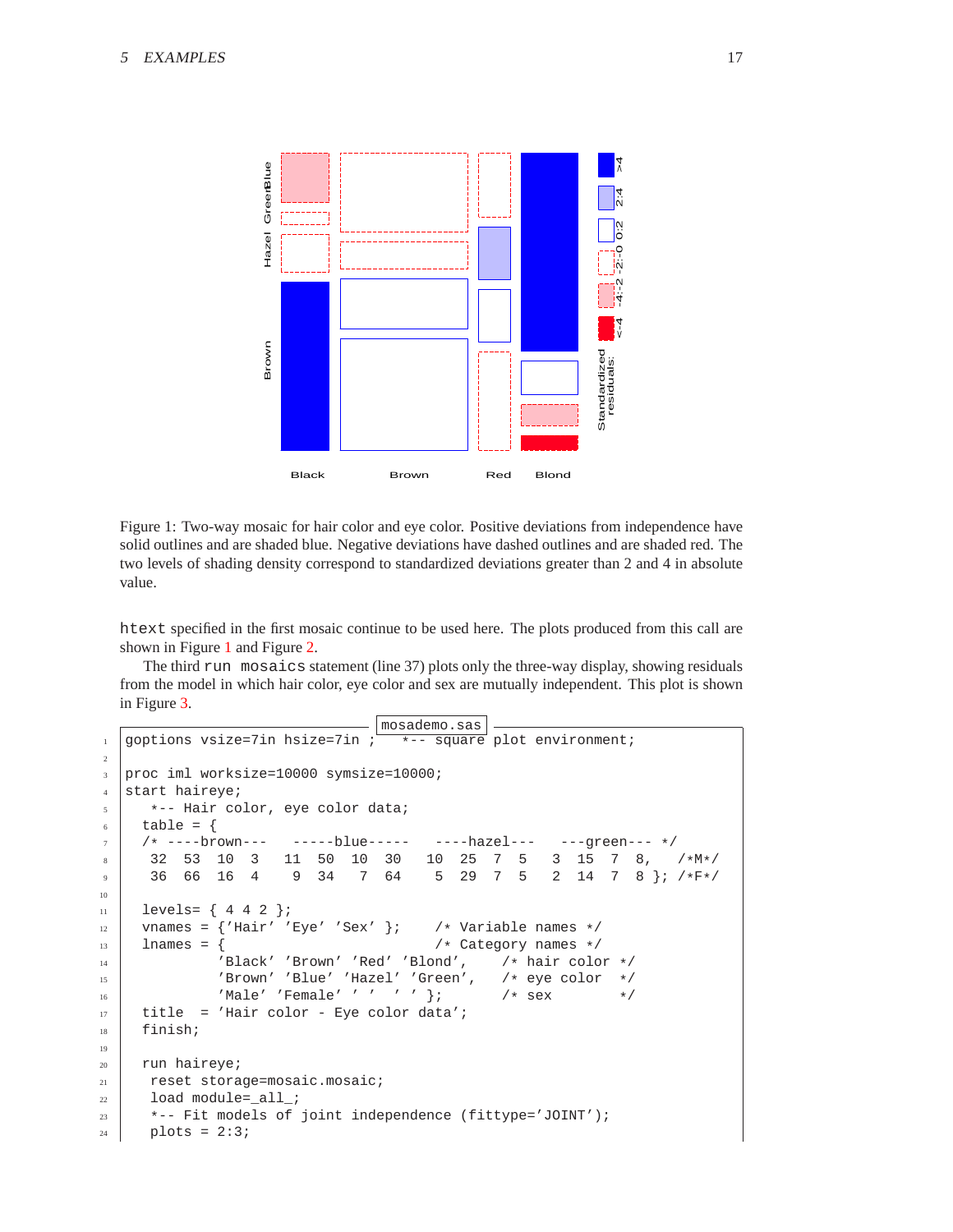

<span id="page-16-0"></span>Figure 1: Two-way mosaic for hair color and eye color. Positive deviations from independence have solid outlines and are shaded blue. Negative deviations have dashed outlines and are shaded red. The two levels of shading density correspond to standardized deviations greater than 2 and 4 in absolute value.

htext specified in the first mosaic continue to be used here. The plots produced from this call are shown in Figure [1](#page-16-0) and Figure [2.](#page-17-0)

The third run mosaics statement (line 37) plots only the three-way display, showing residuals from the model in which hair color, eye color and sex are mutually independent. This plot is shown in Figure [3.](#page-18-0)

```
mosademo.sas
1 goptions vsize=7in hsize=7in ; \frac{1}{1} +-- square plot environment;
2
3 proc iml worksize=10000 symsize=10000;
4 start haireye;
5 \mid *-- Hair color, eye color data;
6 table = {
\begin{array}{c|cccccc}\n7 & / & + & ----brown--- & -----blue--- & ----hazel--- & ---green--- & */ \\
8 & 32 & 53 & 10 & 3 & 11 & 50 & 10 & 30 & 10 & 25 & 7 & 5 & 3 & 15 & 7 & 8.\n\end{array}8 32 53 10 3 11 50 10 30 10 25 7 5 3 15 7 8, /*M*/
9 36 66 16 4 9 34 7 64 5 29 7 5 2 14 7 8 }; /*F*/
10
11 levels= { 4 4 2 };
12 vnames = \{ 'Hair' 'Eye' 'Sex' \}; /* Variable names */<br>13 lnames = \{13 | lnames = { / /* Category names */<br>
\mu / lnames */<br>
\mu / lnames */<br>
\mu / lnames */<br>
\mu / lnames */
<sup>14</sup> | 'Black' 'Brown' 'Red' 'Blond',
15 'Brown' 'Blue' 'Hazel' 'Green', /* eye color */
16 'Male' 'Female' ' ' ' ' }; /* sex */
17 title = 'Hair color - Eye color data';
18 finish;
19
20 run haireye;
21 reset storage=mosaic.mosaic;
22 load module=_all_;
23 *-- Fit models of joint independence (fittype='JOINT');
24 plots = 2:3;
```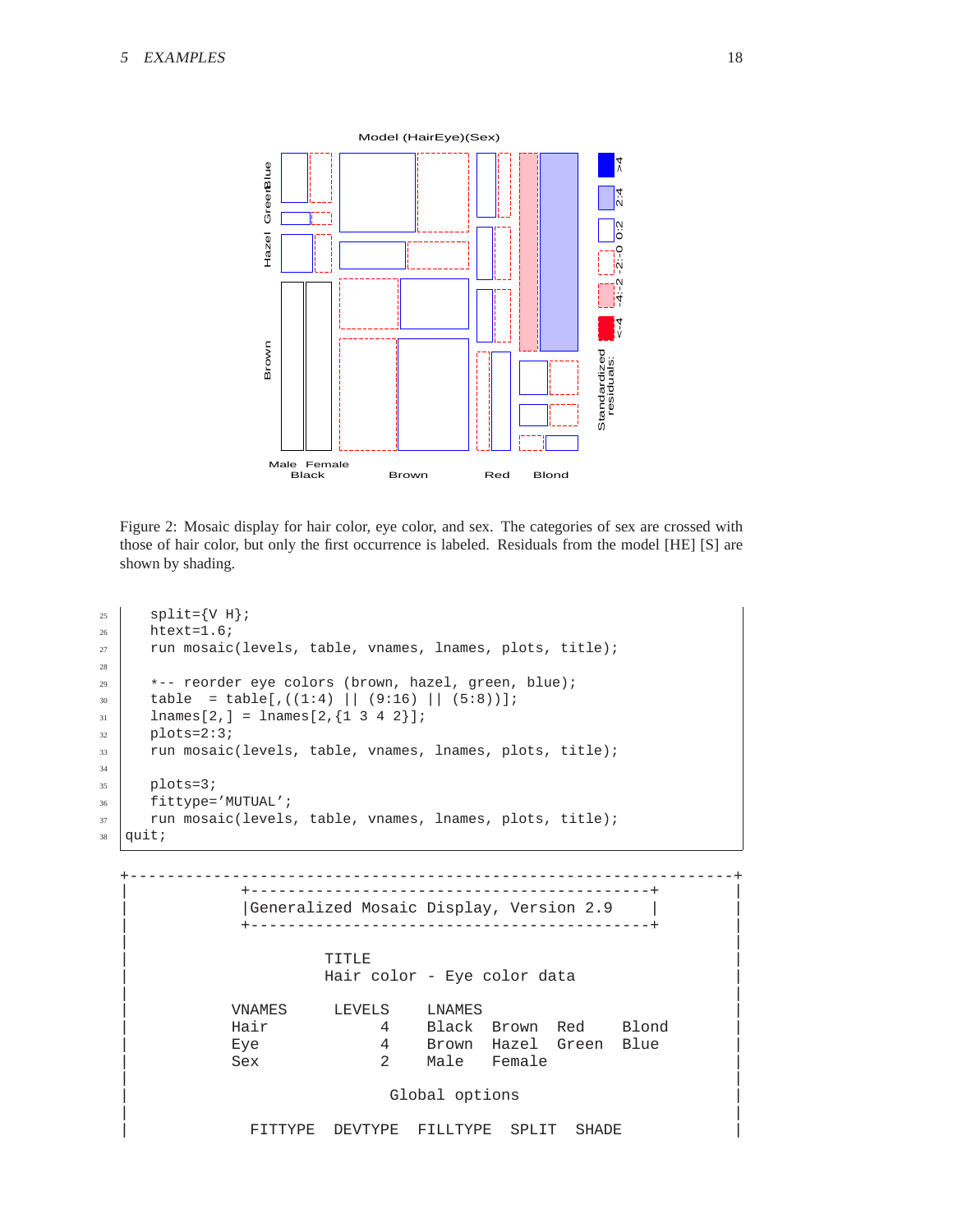

<span id="page-17-0"></span>Figure 2: Mosaic display for hair color, eye color, and sex. The categories of sex are crossed with those of hair color, but only the first occurrence is labeled. Residuals from the model [HE] [S] are shown by shading.

```
25 \Big\} split={V H};
26 htext=1.6;
27 run mosaic(levels, table, vnames, lnames, plots, title);
28
29 *-- reorder eye colors (brown, hazel, green, blue);
30 \mid table = table[,((1:4) || (9:16) || (5:8))];
31 lnames[2,] = lnames[2, {1 3 4 2}];
32 \mid \text{plots}=2:3;33 run mosaic(levels, table, vnames, lnames, plots, title);
34
_{35} plots=3;
36 fittype='MUTUAL';
37 run mosaic(levels, table, vnames, lnames, plots, title);
38 | quit;
```

```
+-----------------------------------------------------------------+
           | +-------------------------------------------+ |
       | |Generalized Mosaic Display, Version 2.9 | |
           | +-------------------------------------------+ |
| |
| TITLE |
            Hair color - Eye color data
| |
| VNAMES LEVELS LNAMES |
      Hair 4 Black Brown Red Blond
      Eye               4     Brown Hazel Green Blue<br>
Sex           2     Male     Female
| Sex 2 Male Female | |
| |
                Global options
| |
        FITTYPE DEVTYPE FILLTYPE SPLIT SHADE
```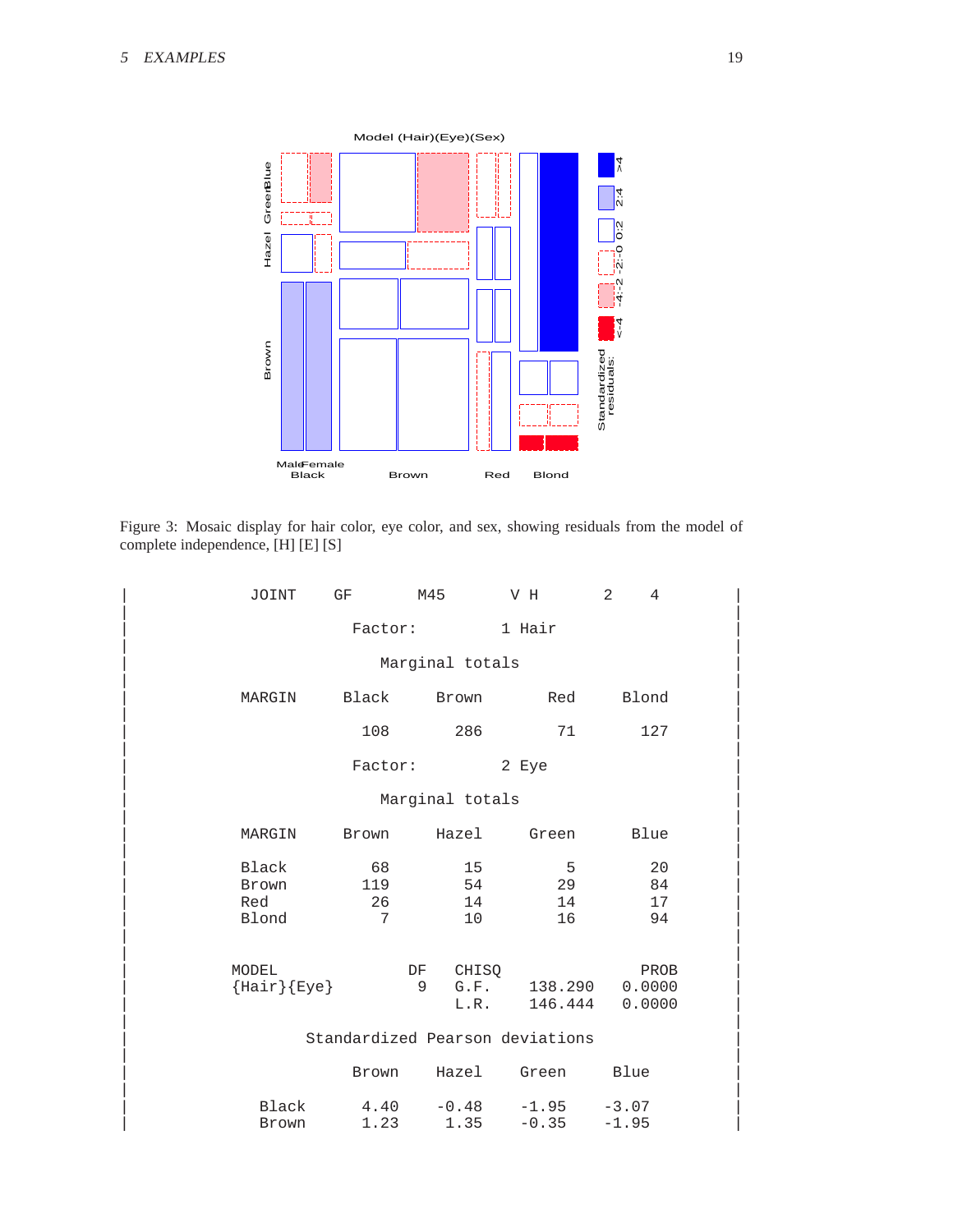

<span id="page-18-0"></span>Figure 3: Mosaic display for hair color, eye color, and sex, showing residuals from the model of complete independence, [H] [E] [S]

| JOINT         | GF        | M45                      | V H                             | 2<br>4         |  |
|---------------|-----------|--------------------------|---------------------------------|----------------|--|
|               | Factor:   |                          | 1 Hair                          |                |  |
|               |           | Marginal totals          |                                 |                |  |
| MARGIN        | Black     | Brown                    | Red                             | Blond          |  |
|               |           |                          |                                 |                |  |
|               | 108       | 286                      | 71                              | 127            |  |
|               | Factor:   |                          | 2 Eye                           |                |  |
|               |           | Marginal totals          |                                 |                |  |
| MARGIN        | Brown     | Hazel                    | Green                           | Blue           |  |
| Black         | 68        | 15                       | 5                               | 20             |  |
| Brown<br>Red  | 119<br>26 | 54<br>14                 | 29<br>14                        | 84<br>17       |  |
| Blond         | 7         | 10                       | 16                              | 94             |  |
|               |           |                          |                                 |                |  |
| MODEL         |           | DF<br>CHISQ<br>9<br>G.F. | 138.290                         | PROB<br>0.0000 |  |
| ${Hair}{Eye}$ |           | L.R.                     | 146.444                         | 0.0000         |  |
|               |           |                          | Standardized Pearson deviations |                |  |
|               | Brown     | Hazel                    | Green                           | Blue           |  |
|               |           |                          |                                 |                |  |
| Black         | 4.40      | $-0.48$                  | $-1.95$                         | $-3.07$        |  |
| Brown         | 1.23      | 1.35                     | $-0.35$                         | $-1.95$        |  |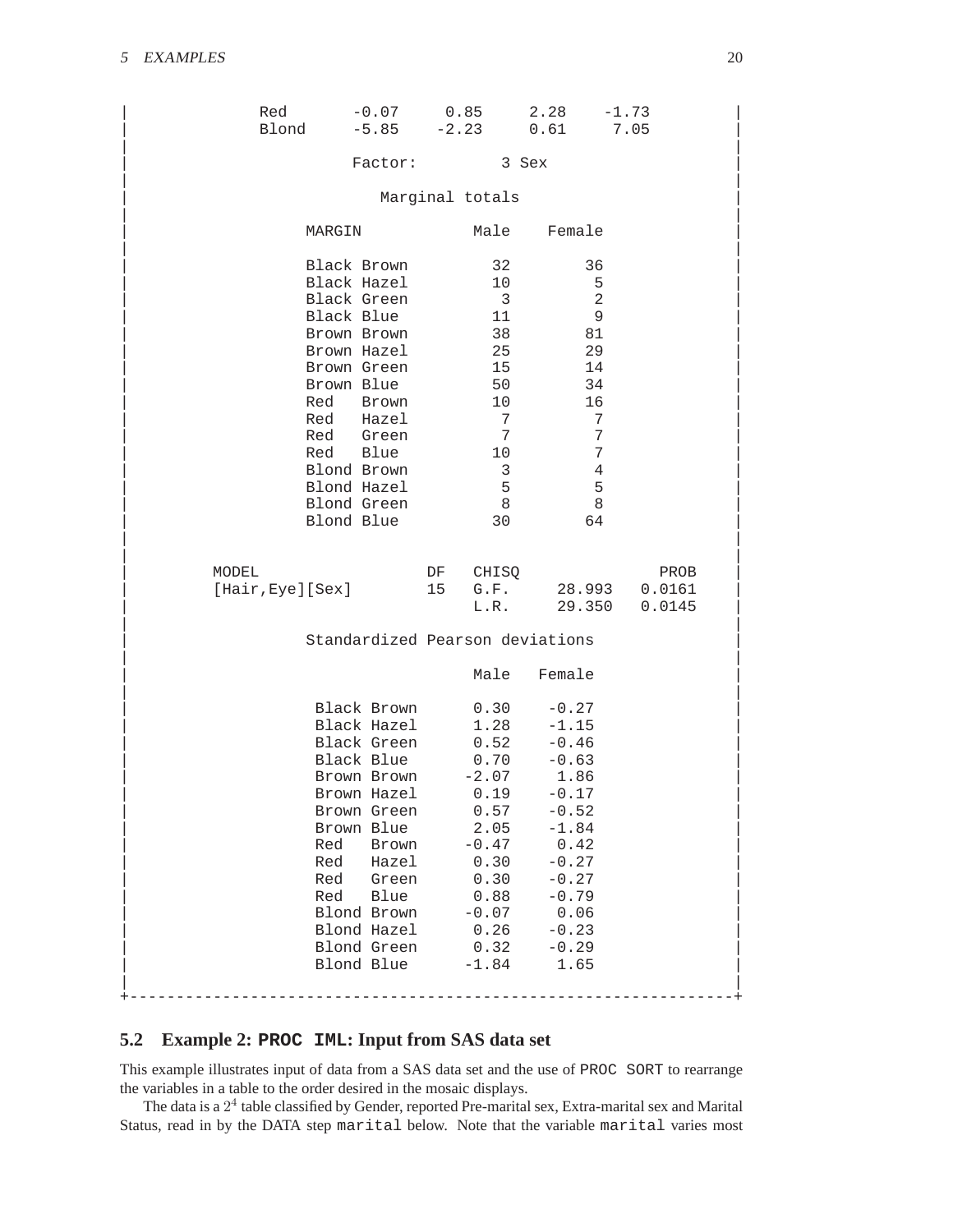| Red   | Blond -5.85 -2.23 0.61 7.05                                                                                                                                                                                                                       |          |                                                                                                                                                                           | $-0.07$ 0.85 2.28 $-1.73$                                                                                                                                        |        |
|-------|---------------------------------------------------------------------------------------------------------------------------------------------------------------------------------------------------------------------------------------------------|----------|---------------------------------------------------------------------------------------------------------------------------------------------------------------------------|------------------------------------------------------------------------------------------------------------------------------------------------------------------|--------|
|       | Factor:                                                                                                                                                                                                                                           |          |                                                                                                                                                                           | 3 Sex                                                                                                                                                            |        |
|       |                                                                                                                                                                                                                                                   |          | Marginal totals                                                                                                                                                           |                                                                                                                                                                  |        |
|       | MARGIN                                                                                                                                                                                                                                            |          | Male                                                                                                                                                                      | Female                                                                                                                                                           |        |
|       | Black Brown<br>Black Hazel<br>Black Green<br>Black Blue<br>Brown Brown<br>Brown Hazel<br>Brown Green<br>Brown Blue<br>Red Brown<br>Red Hazel<br>Red Green<br>Red Blue<br>Blond Brown<br>Blond Hazel<br>Blond Green                                |          | 32<br>10<br>$\overline{\mathbf{3}}$<br>11<br>38<br>25<br>15<br>50<br>10 <sup>°</sup><br>7<br>$7\overline{ }$<br>10<br>$\overline{3}$<br>$5\overline{5}$<br>8 <sup>8</sup> | 36<br>5<br>$\overline{a}$<br>9<br>81<br>29<br>14<br>34<br>16<br>7<br>7<br>7<br>4<br>5<br>8                                                                       |        |
| MODEL | Blond Blue<br>[Hair, Eye][Sex]                                                                                                                                                                                                                    | DF<br>15 | 30<br>CHISQ                                                                                                                                                               | 64<br>G.F. 28.993 0.0161                                                                                                                                         | PROB   |
|       |                                                                                                                                                                                                                                                   |          |                                                                                                                                                                           | L.R. 29.350                                                                                                                                                      | 0.0145 |
|       | Standardized Pearson deviations                                                                                                                                                                                                                   |          |                                                                                                                                                                           |                                                                                                                                                                  |        |
|       |                                                                                                                                                                                                                                                   |          | Male                                                                                                                                                                      | Female                                                                                                                                                           |        |
|       | Black Brown<br>Black Hazel<br>Black Green<br>Black Blue<br>Brown Brown<br>Brown Hazel 0.19<br>Brown Green<br>Brown Blue<br>Red<br>Brown<br>Red<br>Hazel<br>Red<br>Green<br>Blue<br>Red<br>Blond Brown<br>Blond Hazel<br>Blond Green<br>Blond Blue |          | 0.30<br>1.28<br>$0.52 \ 0.70$<br>$-2.07$<br>0.57<br>2.05<br>$-0.47$<br>0.30<br>0.30<br>0.88<br>$-0.07$<br>0.26<br>0.32<br>$-1.84$                                         | $-0.27$<br>$-1.15$<br>$-0.46$<br>$-0.63$<br>1.86<br>$-0.17$<br>$-0.52$<br>$-1.84$<br>0.42<br>$-0.27$<br>$-0.27$<br>$-0.79$<br>0.06<br>$-0.23$<br>$-0.29$<br>1.65 |        |

### <span id="page-19-0"></span>**5.2 Example 2: PROC IML: Input from SAS data set**

This example illustrates input of data from a SAS data set and the use of PROC SORT to rearrange the variables in a table to the order desired in the mosaic displays.

The data is a  $2<sup>4</sup>$  table classified by Gender, reported Pre-marital sex, Extra-marital sex and Marital Status, read in by the DATA step marital below. Note that the variable marital varies most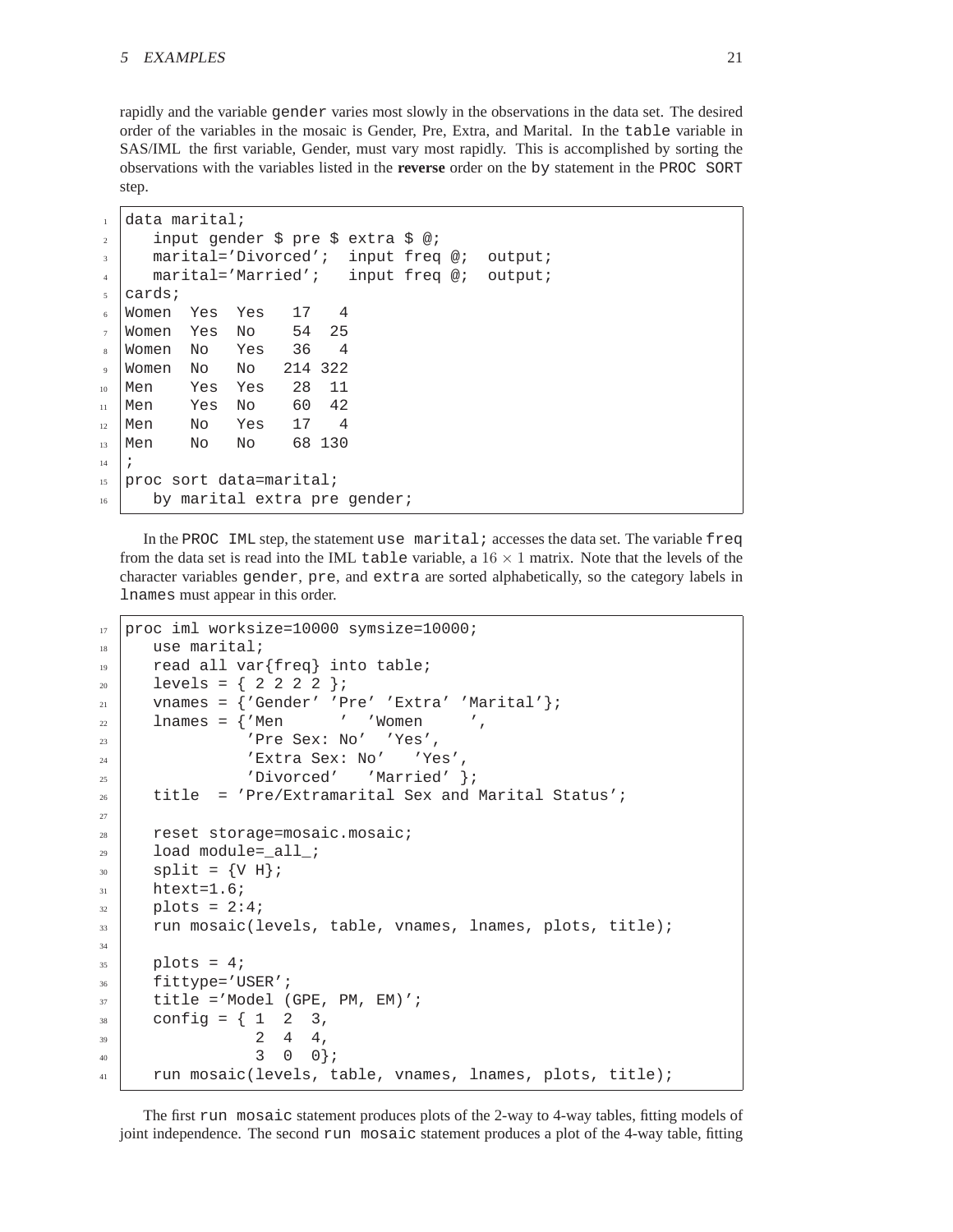rapidly and the variable gender varies most slowly in the observations in the data set. The desired order of the variables in the mosaic is Gender, Pre, Extra, and Marital. In the table variable in SAS/IML the first variable, Gender, must vary most rapidly. This is accomplished by sorting the observations with the variables listed in the **reverse** order on the by statement in the PROC SORT step.

```
_1 data marital;
2 input gender $ pre $ extra $ @;
3 \mid marital='Divorced'; input freq @; output;
4 marital='Married'; input freq @; output;
  cards;
6 Women Yes Yes 17 4
  Women Yes No 54 25
8 Women No Yes 36 4
9 Women No No 214 322
10 Men Yes Yes 28 11
_{11} Men Yes No 60 42
_{12} Men No Yes 17 4
13 Men No No 68 130
14 \mid i15 proc sort data=marital;
16 by marital extra pre gender;
```
In the PROC IML step, the statement use marital; accesses the data set. The variable  $freq$ from the data set is read into the IML table variable, a  $16 \times 1$  matrix. Note that the levels of the character variables gender, pre, and extra are sorted alphabetically, so the category labels in lnames must appear in this order.

```
17 proc iml worksize=10000 symsize=10000;
18 use marital;
19 read all var{freq} into table;
_{20} levels = { 2 2 2 2 };
21 vnames = \{'Gender' 'Pre' 'Extra' 'Marital' \};
22 lnames = {'Men ' 'Women',
\overline{\text{23}} \overline{\text{Pre Sex: No' Yes'}}24 | 'Extra Sex: No' 'Yes',
25 | 'Divorced' 'Married' };
26 title = 'Pre/Extramarital Sex and Marital Status';
27
28 reset storage=mosaic.mosaic;
29 load module=_all_;
_{30} split = \{V \ H\};
31 htext=1.6;
_{32} | plots = 2:4;
33 run mosaic(levels, table, vnames, lnames, plots, title);
34
35 plots = 4;
36 fittype='USER';
37 title ='Model (GPE, PM, EM)';
38 config = { 1 2 3,
39 \t 2 \t 4 \t 4,
40 3 0 0 };
41 run mosaic(levels, table, vnames, lnames, plots, title);
```
The first run mosaic statement produces plots of the 2-way to 4-way tables, fitting models of joint independence. The second run mosaic statement produces a plot of the 4-way table, fitting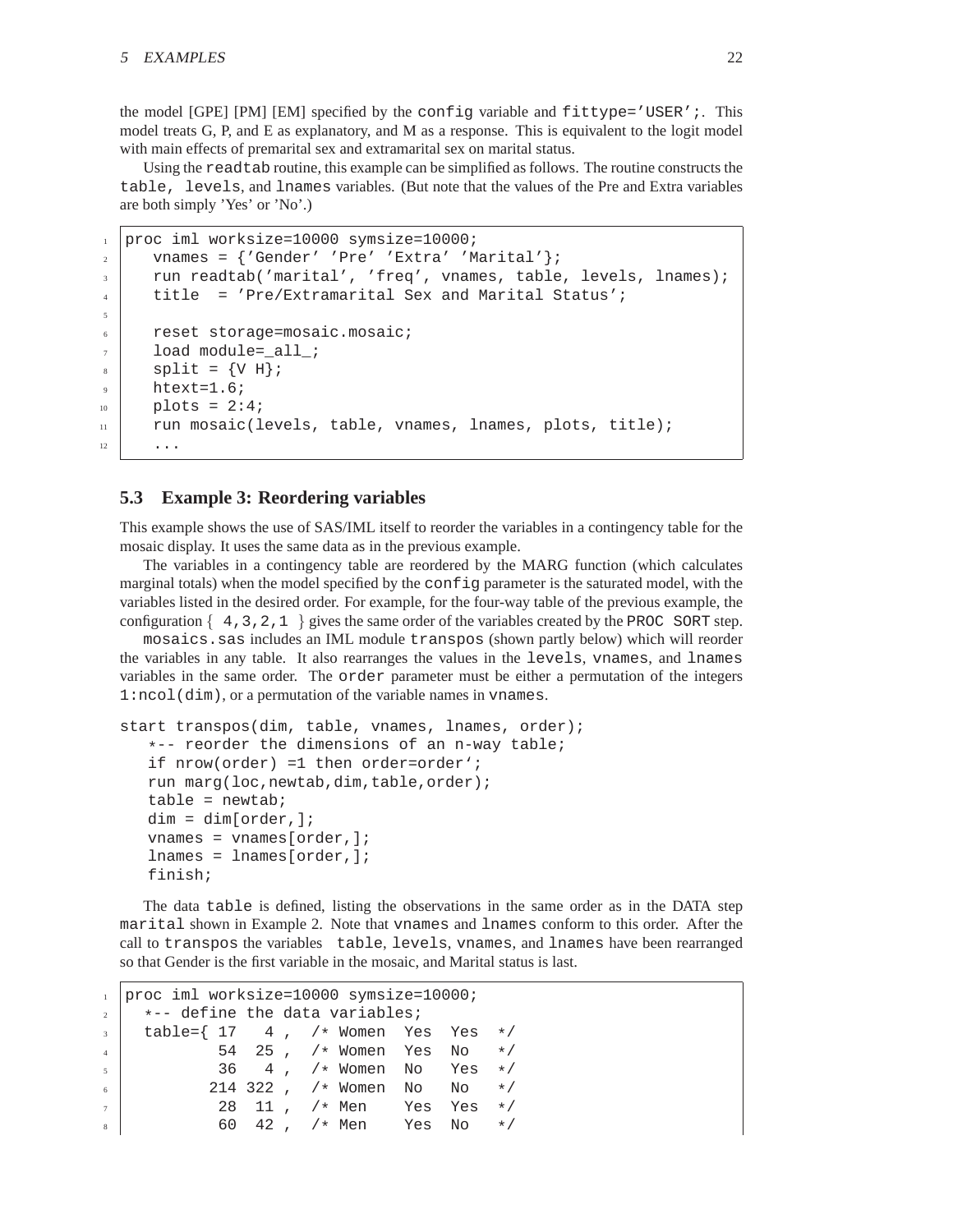the model  $[GPE]$   $[PM]$   $[EM]$  specified by the config variable and fittype='USER';. This model treats G, P, and E as explanatory, and M as a response. This is equivalent to the logit model with main effects of premarital sex and extramarital sex on marital status.

Using the readtab routine, this example can be simplified as follows. The routine constructs the table, levels, and lnames variables. (But note that the values of the Pre and Extra variables are both simply 'Yes' or 'No'.)

```
1 proc iml worksize=10000 symsize=10000;
2 vnames = \{'Gender' 'Pre' 'Extra' 'Marital' \};
3 run readtab('marital', 'freq', vnames, table, levels, lnames);
4 title = 'Pre/Extramarital Sex and Marital Status';
5
6 \mid reset storage=mosaic.mosaic;
     load module=_all_;
s split = \{V \text{ H}\}\text{: }htext=1.6;_{10} | plots = 2:4;
11 run mosaic(levels, table, vnames, lnames, plots, title);
12 ...
```
### <span id="page-21-0"></span>**5.3 Example 3: Reordering variables**

This example shows the use of SAS/IML itself to reorder the variables in a contingency table for the mosaic display. It uses the same data as in the previous example.

The variables in a contingency table are reordered by the MARG function (which calculates marginal totals) when the model specified by the config parameter is the saturated model, with the variables listed in the desired order. For example, for the four-way table of the previous example, the configuration  $\{4,3,2,1\}$  gives the same order of the variables created by the PROC SORT step.

mosaics.sas includes an IML module transpos (shown partly below) which will reorder the variables in any table. It also rearranges the values in the levels, vnames, and lnames variables in the same order. The order parameter must be either a permutation of the integers 1:ncol(dim), or a permutation of the variable names in vnames.

```
start transpos(dim, table, vnames, lnames, order);
   *-- reorder the dimensions of an n-way table;
  if nrow(order) =1 then order=order';
  run marg(loc,newtab,dim,table,order);
  table = newtab;dim = dim[order,;
  vnames = vnames[order,];
  lnames = lnames[order,];
  finish;
```
The data table is defined, listing the observations in the same order as in the DATA step marital shown in Example 2. Note that vnames and lnames conform to this order. After the call to transpos the variables table, levels, vnames, and lnames have been rearranged so that Gender is the first variable in the mosaic, and Marital status is last.

```
1 proc iml worksize=10000 symsize=10000;
2 \times - define the data variables;
\begin{array}{c|cccccc}\n3 & \text{table}=\{ & 17 & 4 \ , & \text{/*} & \text{Women} & \text{Yes} & \text{Yes} & \text{*}\n\end{array}4 35 , /* Women Yes No */<br>5 36 4 , /* Women No Yes */
\begin{array}{c|ccccccccc}\n 5 & & & & & & 36 & 4 & , & \text{/*} & \text{Women} & \text{No} & & \text{Yes} & \star \text{/} \\
 & & & & & 214 & 322 & , & \text{/*} & \text{Women} & \text{No} & \text{No} & & \star \text{/}\n\end{array}\begin{array}{c|cccccc}\n6 & & 214 & 322 & , & \n\end{array} , \begin{array}{ccc}\n\star & \text{Women} & \text{No} & \text{No} & \star\n\end{array}7 28 11, \frac{1}{2} Yes Yes */
\begin{array}{ccc} \text{8} & \text{8} & \text{8} \end{array} 60 42 , /* Men Yes No */
```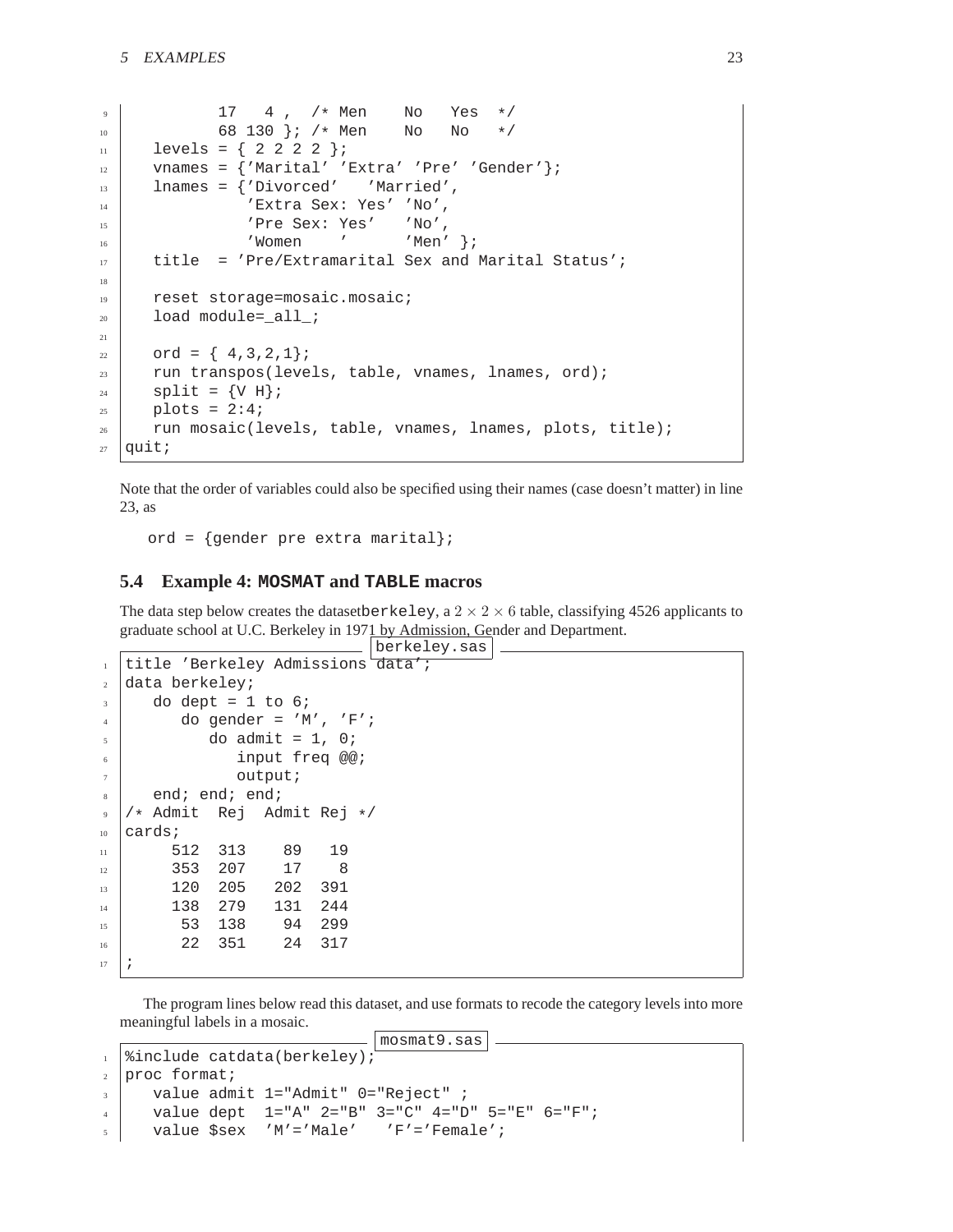```
9 \mid 17 \cdot 4, /* Men No Yes */
10 68 130 }; /* Men No No */
_{11} levels = { 2 2 2 2 };
12 vnames = \{ 'Marital' ' Extra' 'Pre' 'Gender' } \};
13 lnames = {'Divorced' 'Married',
14 | 'Extra Sex: Yes' 'No',
15 | 'Pre Sex: Yes' 'No',
16 | 'Women ' 'Men' };
17 title = 'Pre/Extramarital Sex and Marital Status';
18
19 reset storage=mosaic.mosaic;
20 load module=_all_;
21
22 \mid \text{ord} = \{4,3,2,1\}23 run transpos(levels, table, vnames, lnames, ord);
_{24} split = \{V \ H\};
_{25} plots = 2:4;
_{26} run mosaic(levels, table, vnames, lnames, plots, title);
27 quit;
```
Note that the order of variables could also be specified using their names (case doesn't matter) in line 23, as

ord = {gender pre extra marital};

### <span id="page-22-0"></span>**5.4 Example 4: MOSMAT and TABLE macros**

The data step below creates the datasetberkeley, a  $2 \times 2 \times 6$  table, classifying 4526 applicants to graduate school at U.C. Berkeley in 1971 by Admission, Gender and Department.

```
berkeley.sas
1 title 'Berkeley Admissions data';
2 \int data \, berkeley;3 \mid do dept = 1 to 6;
4 | do gender = 'M', 'F';
5 \mid do admit = 1, 0;
6 input freq @@;
7 \mid \text{output}s end; end; end;
9 /* Admit Rej Admit Rej */
10 cards;
11 512 313 89 19
12 353 207 17 8
13 120 205 202 391
14 138 279 131 244
15 53 138 94 299
16 22 351 24 317
17 \mid i
```
The program lines below read this dataset, and use formats to recode the category levels into more meaningful labels in a mosaic.

```
mosmat9.sas
1 | %include catdata(berkeley);
2 proc format;
3 \mid value admit 1="Admit" 0="Reject" ;
4 value dept 1="A" 2="B" 3="C" 4="D" 5="E" 6="F";
5 \mid value $sex 'M'='Male' 'F'='Female';
```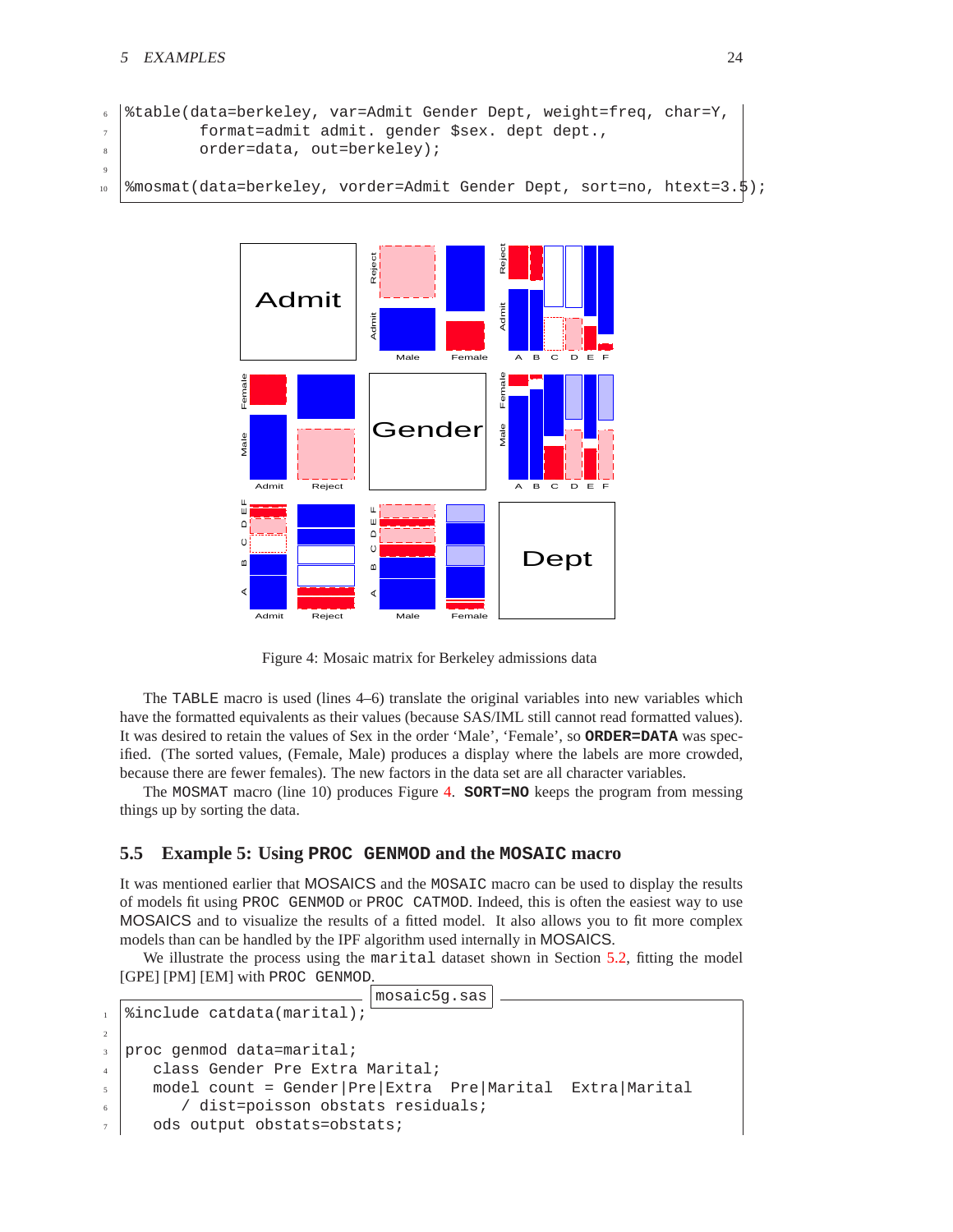```
6 \times 8 table(data=berkeley, var=Admit Gender Dept, weight=freq, char=Y,
7 format=admit admit. gender $sex. dept dept.,
8 | order=data, out=berkeley);
\overline{9}10 %mosmat(data=berkeley, vorder=Admit Gender Dept, sort=no, htext=3.5);
```


<span id="page-23-1"></span>Figure 4: Mosaic matrix for Berkeley admissions data

The TABLE macro is used (lines 4–6) translate the original variables into new variables which have the formatted equivalents as their values (because SAS/IML still cannot read formatted values). It was desired to retain the values of Sex in the order 'Male', 'Female', so **ORDER=DATA** was specified. (The sorted values, (Female, Male) produces a display where the labels are more crowded, because there are fewer females). The new factors in the data set are all character variables.

The MOSMAT macro (line 10) produces Figure [4.](#page-23-1) **SORT=NO** keeps the program from messing things up by sorting the data.

### <span id="page-23-0"></span>**5.5 Example 5: Using PROC GENMOD and the MOSAIC macro**

It was mentioned earlier that MOSAICS and the MOSAIC macro can be used to display the results of models fit using PROC GENMOD or PROC CATMOD. Indeed, this is often the easiest way to use MOSAICS and to visualize the results of a fitted model. It also allows you to fit more complex models than can be handled by the IPF algorithm used internally in MOSAICS.

We illustrate the process using the marital dataset shown in Section [5.2,](#page-19-0) fitting the model [GPE] [PM] [EM] with PROC GENMOD.

```
mosaic5g.sas
1 | %include catdata(marital);
2
3 proc genmod data=marital;
4 | class Gender Pre Extra Marital;
5 model count = Gender|Pre|Extra Pre|Marital Extra|Marital
        / dist=poisson obstats residuals;
     ods output obstats=obstats;
```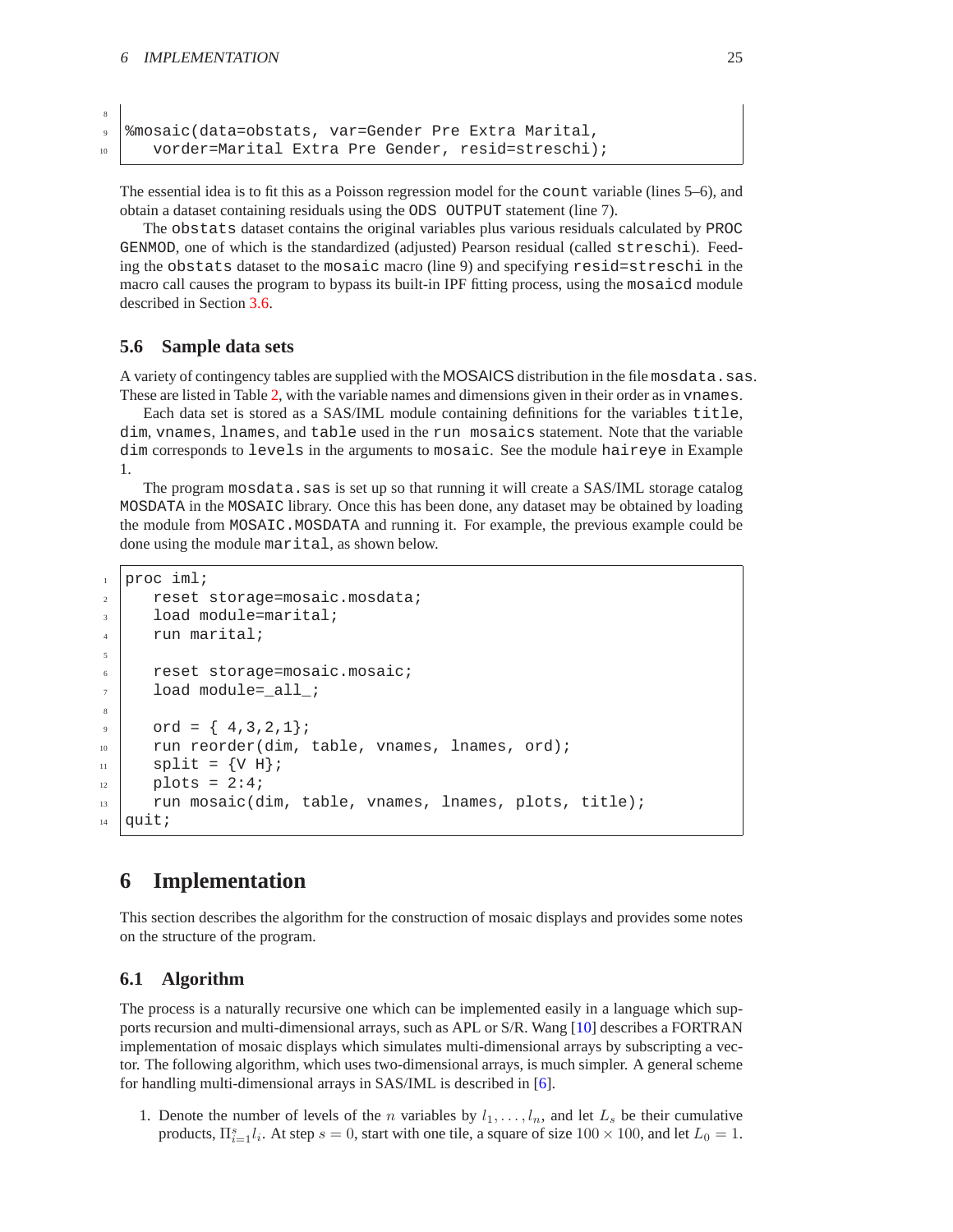<span id="page-24-3"></span>8

```
9 %mosaic(data=obstats, var=Gender Pre Extra Marital,
10 vorder=Marital Extra Pre Gender, resid=streschi);
```
The essential idea is to fit this as a Poisson regression model for the count variable (lines 5–6), and obtain a dataset containing residuals using the ODS OUTPUT statement (line 7).

The obstats dataset contains the original variables plus various residuals calculated by PROC GENMOD, one of which is the standardized (adjusted) Pearson residual (called streschi). Feeding the obstats dataset to the mosaic macro (line 9) and specifying resid=streschi in the macro call causes the program to bypass its built-in IPF fitting process, using the mosaicd module described in Section [3.6.](#page-11-0)

### <span id="page-24-0"></span>**5.6 Sample data sets**

A variety of contingency tables are supplied with the MOSAICS distribution in the file mosdata.sas. These are listed in Table [2,](#page-25-0) with the variable names and dimensions given in their order as in vnames.

Each data set is stored as a SAS/IML module containing definitions for the variables title, dim, vnames, lnames, and table used in the run mosaics statement. Note that the variable dim corresponds to levels in the arguments to mosaic. See the module haireye in Example 1.

The program mosdata.sas is set up so that running it will create a SAS/IML storage catalog MOSDATA in the MOSAIC library. Once this has been done, any dataset may be obtained by loading the module from MOSAIC.MOSDATA and running it. For example, the previous example could be done using the module marital, as shown below.

```
1 proc iml;
2 reset storage=mosaic.mosdata;
3 load module=marital;
      run marital;
5
6 \mid reset storage=mosaic.mosaic;
      load module= all ;
8
9 \mid \text{ord} = \{ 4, 3, 2, 1 \};_{10} run reorder(dim, table, vnames, lnames, ord);
_{11} split = {V H};
12 plots = 2:4;
13 run mosaic(dim, table, vnames, lnames, plots, title);
14 quit;
```
### <span id="page-24-1"></span>**6 Implementation**

This section describes the algorithm for the construction of mosaic displays and provides some notes on the structure of the program.

### <span id="page-24-2"></span>**6.1 Algorithm**

The process is a naturally recursive one which can be implemented easily in a language which supports recursion and multi-dimensional arrays, such as APL or S/R. Wang [\[10\]](#page-29-3) describes a FORTRAN implementation of mosaic displays which simulates multi-dimensional arrays by subscripting a vector. The following algorithm, which uses two-dimensional arrays, is much simpler. A general scheme for handling multi-dimensional arrays in SAS/IML is described in [\[6\]](#page-29-4).

1. Denote the number of levels of the *n* variables by  $l_1, \ldots, l_n$ , and let  $L_s$  be their cumulative products,  $\Pi_{i=1}^s l_i$ . At step  $s = 0$ , start with one tile, a square of size  $100 \times 100$ , and let  $L_0 = 1$ .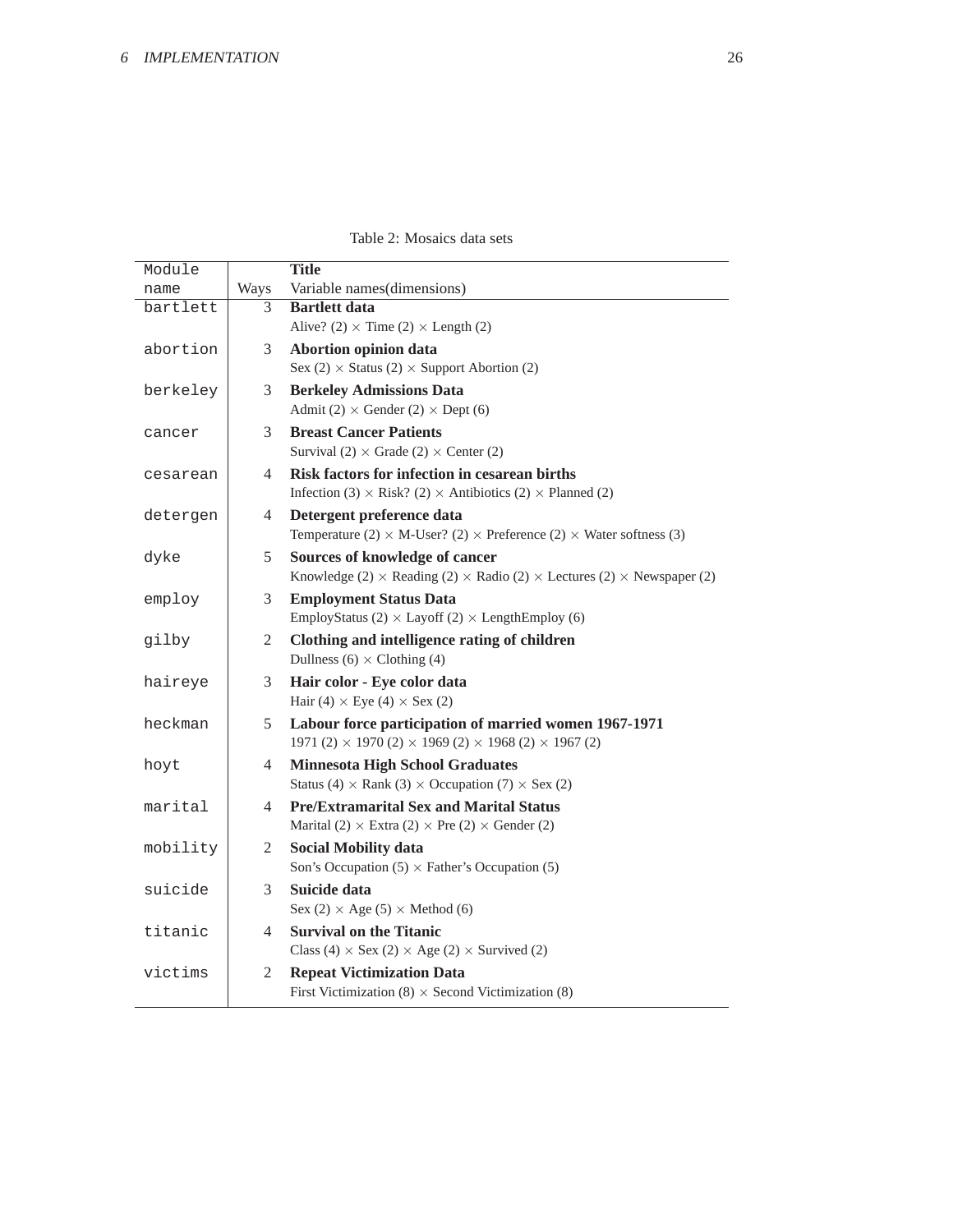<span id="page-25-0"></span>

|  | Table 2: Mosaics data sets |  |  |
|--|----------------------------|--|--|
|--|----------------------------|--|--|

| Module   |                | <b>Title</b>                                                                                       |
|----------|----------------|----------------------------------------------------------------------------------------------------|
| name     | Ways           | Variable names(dimensions)                                                                         |
| bartlett | 3              | <b>Bartlett data</b>                                                                               |
|          |                | Alive? (2) $\times$ Time (2) $\times$ Length (2)                                                   |
| abortion | 3              | Abortion opinion data                                                                              |
|          |                | Sex (2) $\times$ Status (2) $\times$ Support Abortion (2)                                          |
| berkeley | 3              | <b>Berkeley Admissions Data</b>                                                                    |
|          |                | Admit (2) $\times$ Gender (2) $\times$ Dept (6)                                                    |
| cancer   | 3              | <b>Breast Cancer Patients</b>                                                                      |
|          |                | Survival (2) $\times$ Grade (2) $\times$ Center (2)                                                |
| cesarean | 4              | Risk factors for infection in cesarean births                                                      |
|          |                | Infection (3) $\times$ Risk? (2) $\times$ Antibiotics (2) $\times$ Planned (2)                     |
| detergen | 4              | Detergent preference data                                                                          |
|          |                | Temperature (2) $\times$ M-User? (2) $\times$ Preference (2) $\times$ Water softness (3)           |
| dyke     | 5              | Sources of knowledge of cancer                                                                     |
|          |                | Knowledge (2) $\times$ Reading (2) $\times$ Radio (2) $\times$ Lectures (2) $\times$ Newspaper (2) |
| employ   | 3              | <b>Employment Status Data</b>                                                                      |
|          |                | EmployStatus (2) $\times$ Layoff (2) $\times$ LengthEmploy (6)                                     |
| gilby    | 2              | Clothing and intelligence rating of children                                                       |
|          |                | Dullness (6) $\times$ Clothing (4)                                                                 |
| haireye  | 3              | Hair color - Eye color data                                                                        |
|          |                | Hair (4) $\times$ Eye (4) $\times$ Sex (2)                                                         |
| heckman  | 5              | Labour force participation of married women 1967-1971                                              |
|          |                | 1971 (2) $\times$ 1970 (2) $\times$ 1969 (2) $\times$ 1968 (2) $\times$ 1967 (2)                   |
| hoyt     | 4              | <b>Minnesota High School Graduates</b>                                                             |
|          |                | Status (4) $\times$ Rank (3) $\times$ Occupation (7) $\times$ Sex (2)                              |
| marital  | 4              | <b>Pre/Extramarital Sex and Marital Status</b>                                                     |
|          |                | Marital (2) $\times$ Extra (2) $\times$ Pre (2) $\times$ Gender (2)                                |
| mobility | 2              | <b>Social Mobility data</b>                                                                        |
|          |                | Son's Occupation $(5) \times$ Father's Occupation $(5)$                                            |
| suicide  | 3              | Suicide data                                                                                       |
|          |                | Sex (2) $\times$ Age (5) $\times$ Method (6)                                                       |
| titanic  | 4              | <b>Survival on the Titanic</b>                                                                     |
|          |                | Class (4) $\times$ Sex (2) $\times$ Age (2) $\times$ Survived (2)                                  |
| victims  | $\mathfrak{2}$ | <b>Repeat Victimization Data</b>                                                                   |
|          |                | First Victimization $(8) \times$ Second Victimization $(8)$                                        |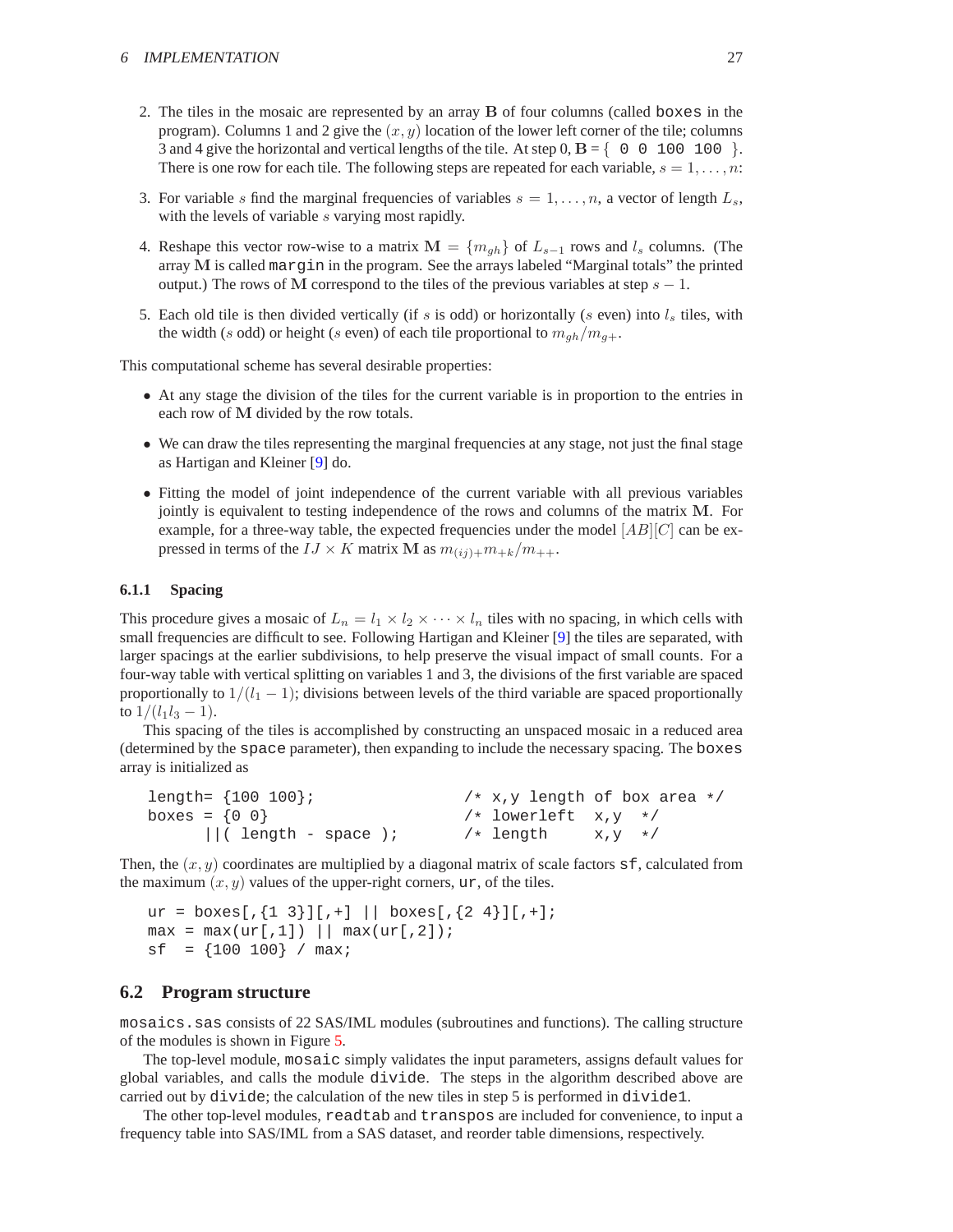- <span id="page-26-1"></span>2. The tiles in the mosaic are represented by an array B of four columns (called boxes in the program). Columns 1 and 2 give the  $(x, y)$  location of the lower left corner of the tile; columns 3 and 4 give the horizontal and vertical lengths of the tile. At step  $0, B = \{ 0 \ 0 \ 100 \ 100 \}$ . There is one row for each tile. The following steps are repeated for each variable,  $s = 1, \ldots, n$ :
- 3. For variable s find the marginal frequencies of variables  $s = 1, \ldots, n$ , a vector of length  $L_s$ , with the levels of variable s varying most rapidly.
- 4. Reshape this vector row-wise to a matrix  $\mathbf{M} = \{m_{qh}\}\$  of  $L_{s-1}$  rows and  $l_s$  columns. (The array M is called margin in the program. See the arrays labeled "Marginal totals" the printed output.) The rows of M correspond to the tiles of the previous variables at step  $s - 1$ .
- 5. Each old tile is then divided vertically (if s is odd) or horizontally (s even) into  $l_s$  tiles, with the width (s odd) or height (s even) of each tile proportional to  $m_{gh}/m_{g+}$ .

This computational scheme has several desirable properties:

- At any stage the division of the tiles for the current variable is in proportion to the entries in each row of M divided by the row totals.
- We can draw the tiles representing the marginal frequencies at any stage, not just the final stage as Hartigan and Kleiner [\[9\]](#page-29-0) do.
- Fitting the model of joint independence of the current variable with all previous variables jointly is equivalent to testing independence of the rows and columns of the matrix M. For example, for a three-way table, the expected frequencies under the model  $[AB][C]$  can be expressed in terms of the  $IJ \times K$  matrix M as  $m_{(ij)+}m_{+k}/m_{++}$ .

#### **6.1.1 Spacing**

This procedure gives a mosaic of  $L_n = l_1 \times l_2 \times \cdots \times l_n$  tiles with no spacing, in which cells with small frequencies are difficult to see. Following Hartigan and Kleiner [\[9\]](#page-29-0) the tiles are separated, with larger spacings at the earlier subdivisions, to help preserve the visual impact of small counts. For a four-way table with vertical splitting on variables 1 and 3, the divisions of the first variable are spaced proportionally to  $1/(l_1 - 1)$ ; divisions between levels of the third variable are spaced proportionally to  $1/(l_1l_3 - 1)$ .

This spacing of the tiles is accomplished by constructing an unspaced mosaic in a reduced area (determined by the space parameter), then expanding to include the necessary spacing. The boxes array is initialized as

| length= $\{100\ 100\}$ ; | $/* x,y$ length of box area $*/$ |                |  |
|--------------------------|----------------------------------|----------------|--|
| boxes = $\{0\ 0\}$       | $/*$ lowerleft $x,y */$          |                |  |
| $  $ ( length - space ); | /* length                        | $X,Y \quad */$ |  |

Then, the  $(x, y)$  coordinates are multiplied by a diagonal matrix of scale factors  $\leq$  f, calculated from the maximum  $(x, y)$  values of the upper-right corners, ur, of the tiles.

```
ur = boxes[, {1 3}][,+] || boxes[,{2 4}][,+]max = max(ur[,1]) || max(ur[,2]);
sf = \{100 100\} / max;
```
### <span id="page-26-0"></span>**6.2 Program structure**

mosaics.sas consists of 22 SAS/IML modules (subroutines and functions). The calling structure of the modules is shown in Figure [5.](#page-27-1)

The top-level module, mosaic simply validates the input parameters, assigns default values for global variables, and calls the module divide. The steps in the algorithm described above are carried out by divide; the calculation of the new tiles in step 5 is performed in divide1.

The other top-level modules, readtab and transpos are included for convenience, to input a frequency table into SAS/IML from a SAS dataset, and reorder table dimensions, respectively.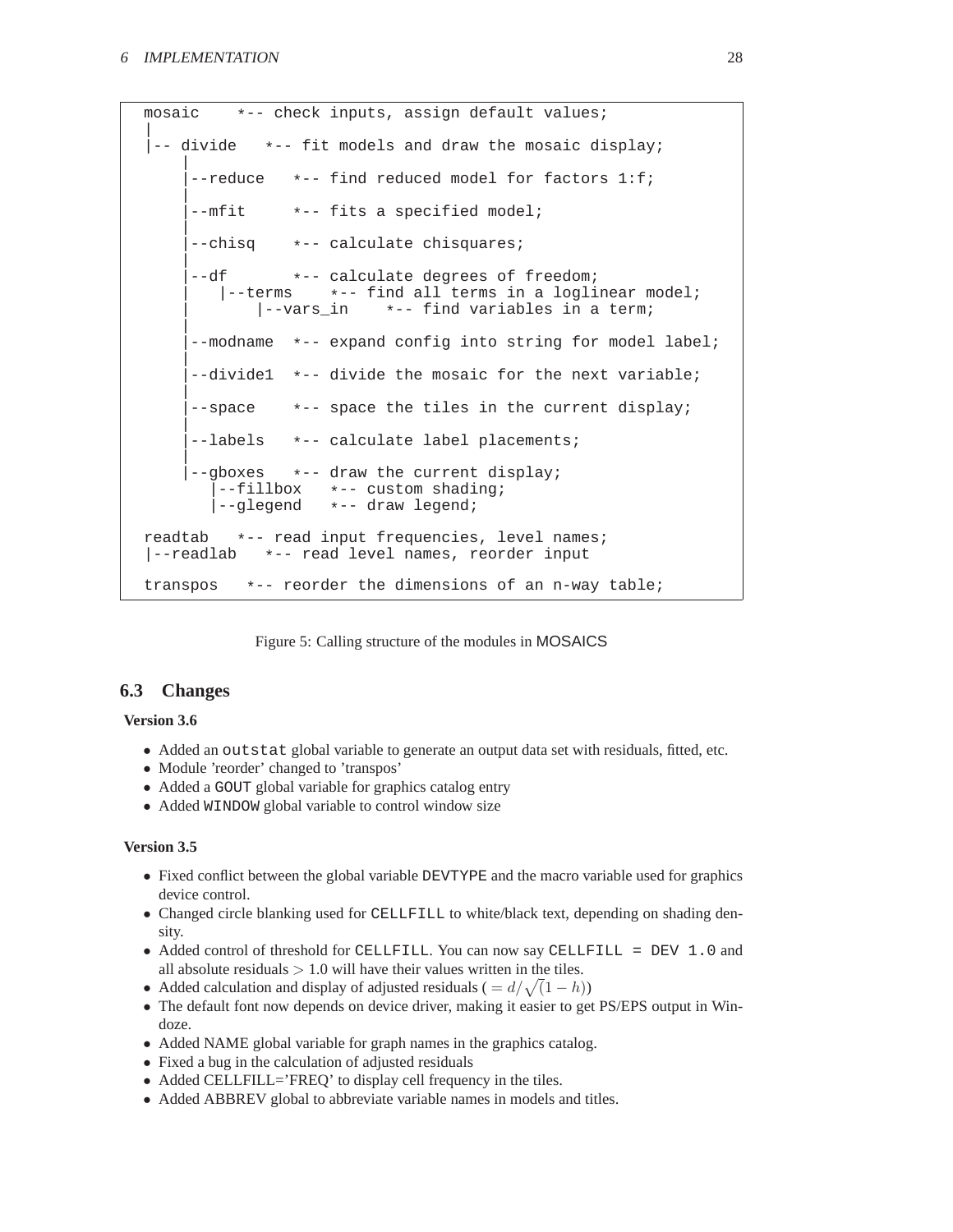```
mosaic *-- check inputs, assign default values;
|
 -- divide *-- fit models and draw the mosaic display;
    |
     --reduce *-- find reduced model for factors 1:f;
    |
     --mfit *-- fits a specified model;
    |
     --chisq *-- calculate chisquares;
    |
     --df *-- calculate degrees of freedom;
         \vert--terms *-- find all terms in a loglinear model;<br>\vert--vars_in *-- find variables in a term;
                             *-- find variables in a term;
    |
      --modname *-- expand config into string for model label;
    |
     |--divide1 *-- divide the mosaic for the next variable;
    |
     --space *-- space the tiles in the current display;
    |
      --labels *-- calculate label placements;
    |
      --gboxes *-- draw the current display;<br>|--fillbox *-- custom shading;
         --fillbox *-- custom shading;<br>--glegend *-- draw legend;
                      |--glegend *-- draw legend;
readtab *-- read input frequencies, level names;
|--readlab *-- read level names, reorder input
transpos *-- reorder the dimensions of an n-way table;
```
<span id="page-27-1"></span>Figure 5: Calling structure of the modules in MOSAICS

### <span id="page-27-0"></span>**6.3 Changes**

### **Version 3.6**

- Added an outstat global variable to generate an output data set with residuals, fitted, etc.
- Module 'reorder' changed to 'transpos'
- Added a GOUT global variable for graphics catalog entry
- Added WINDOW global variable to control window size

### **Version 3.5**

- Fixed conflict between the global variable DEVTYPE and the macro variable used for graphics device control.
- Changed circle blanking used for CELLFILL to white/black text, depending on shading density.
- Added control of threshold for CELLFILL. You can now say CELLFILL = DEV 1.0 and all absolute residuals  $> 1.0$  will have their values written in the tiles.
- Added calculation and display of adjusted residuals ( $= d/\sqrt{(1-h)}$ )
- The default font now depends on device driver, making it easier to get PS/EPS output in Windoze.
- Added NAME global variable for graph names in the graphics catalog.
- Fixed a bug in the calculation of adjusted residuals
- Added CELLFILL='FREQ' to display cell frequency in the tiles.
- Added ABBREV global to abbreviate variable names in models and titles.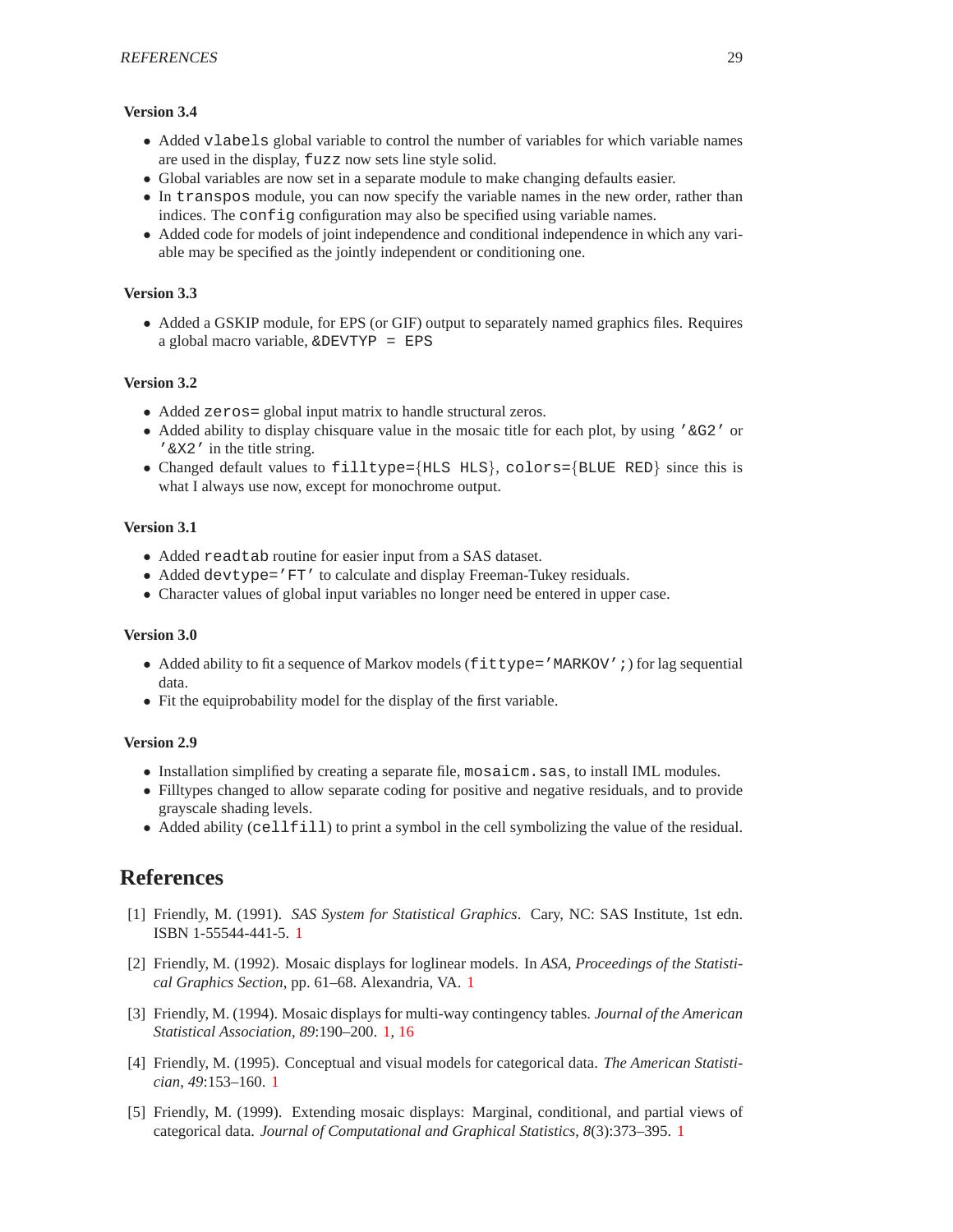### **Version 3.4**

- Added vlabels global variable to control the number of variables for which variable names are used in the display, fuzz now sets line style solid.
- Global variables are now set in a separate module to make changing defaults easier.
- In transpos module, you can now specify the variable names in the new order, rather than indices. The configuration may also be specified using variable names.
- Added code for models of joint independence and conditional independence in which any variable may be specified as the jointly independent or conditioning one.

#### **Version 3.3**

• Added a GSKIP module, for EPS (or GIF) output to separately named graphics files. Requires a global macro variable, &DEVTYP = EPS

### **Version 3.2**

- Added zeros = global input matrix to handle structural zeros.
- Added ability to display chisquare value in the mosaic title for each plot, by using '&G2' or '&X2' in the title string.
- Changed default values to filltype={HLS HLS}, colors={BLUE RED} since this is what I always use now, except for monochrome output.

### **Version 3.1**

- Added readtab routine for easier input from a SAS dataset.
- Added devtype='FT' to calculate and display Freeman-Tukey residuals.
- Character values of global input variables no longer need be entered in upper case.

#### **Version 3.0**

- Added ability to fit a sequence of Markov models (fittype='MARKOV';) for lag sequential data.
- Fit the equiprobability model for the display of the first variable.

#### **Version 2.9**

- Installation simplified by creating a separate file, mosaicm.sas, to install IML modules.
- Filltypes changed to allow separate coding for positive and negative residuals, and to provide grayscale shading levels.
- Added ability (cellfill) to print a symbol in the cell symbolizing the value of the residual.

### <span id="page-28-0"></span>**References**

- <span id="page-28-1"></span>[1] Friendly, M. (1991). *SAS System for Statistical Graphics*. Cary, NC: SAS Institute, 1st edn. ISBN 1-55544-441-5. [1](#page-0-1)
- [2] Friendly, M. (1992). Mosaic displays for loglinear models. In *ASA, Proceedings of the Statistical Graphics Section*, pp. 61–68. Alexandria, VA. [1](#page-0-1)
- <span id="page-28-2"></span>[3] Friendly, M. (1994). Mosaic displays for multi-way contingency tables. *Journal of the American Statistical Association*, *89*:190–200. [1,](#page-0-1) [16](#page-15-3)
- <span id="page-28-3"></span>[4] Friendly, M. (1995). Conceptual and visual models for categorical data. *The American Statistician*, *49*:153–160. [1](#page-0-1)
- <span id="page-28-4"></span>[5] Friendly, M. (1999). Extending mosaic displays: Marginal, conditional, and partial views of categorical data. *Journal of Computational and Graphical Statistics*, *8*(3):373–395. [1](#page-0-1)